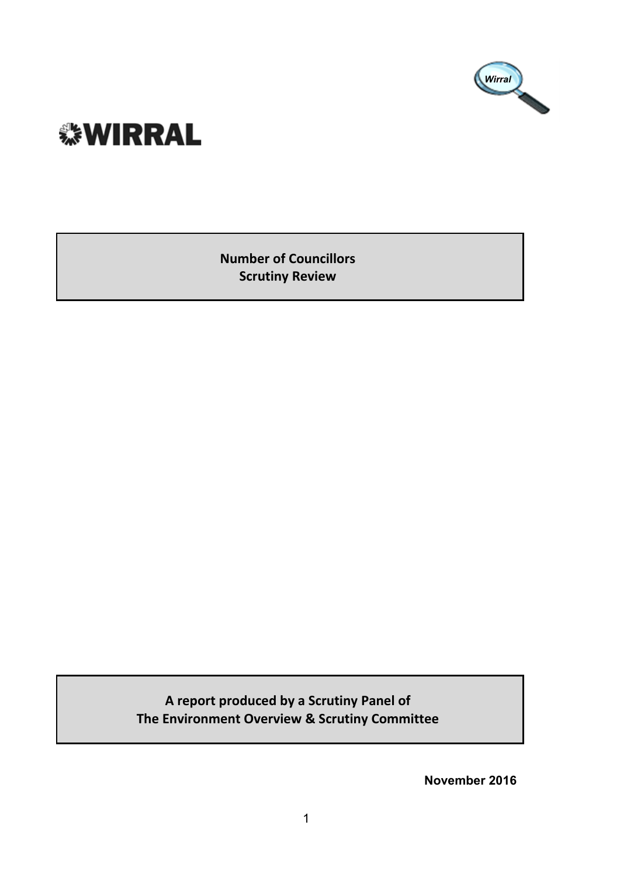

# **. WIRRAL**

**Number of Councillors Scrutiny Review**

**A report produced by a Scrutiny Panel of The Environment Overview & Scrutiny Committee**

**November 2016**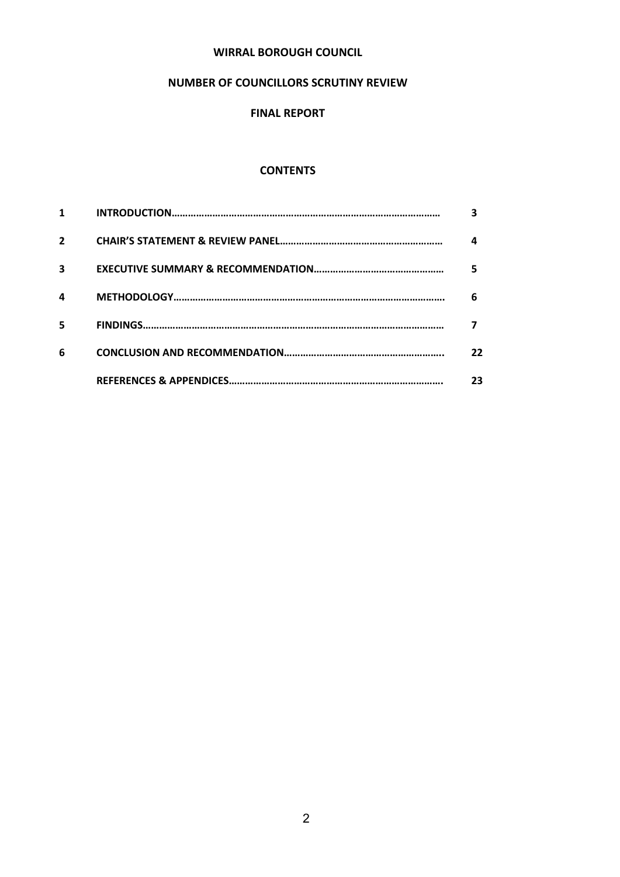#### **WIRRAL BOROUGH COUNCIL**

#### **NUMBER OF COUNCILLORS SCRUTINY REVIEW**

#### **FINAL REPORT**

#### **CONTENTS**

| $\overline{2}$ | 4  |
|----------------|----|
| 3              | 5  |
| 4              | 6  |
| 5              |    |
| 6              | 22 |
|                | 23 |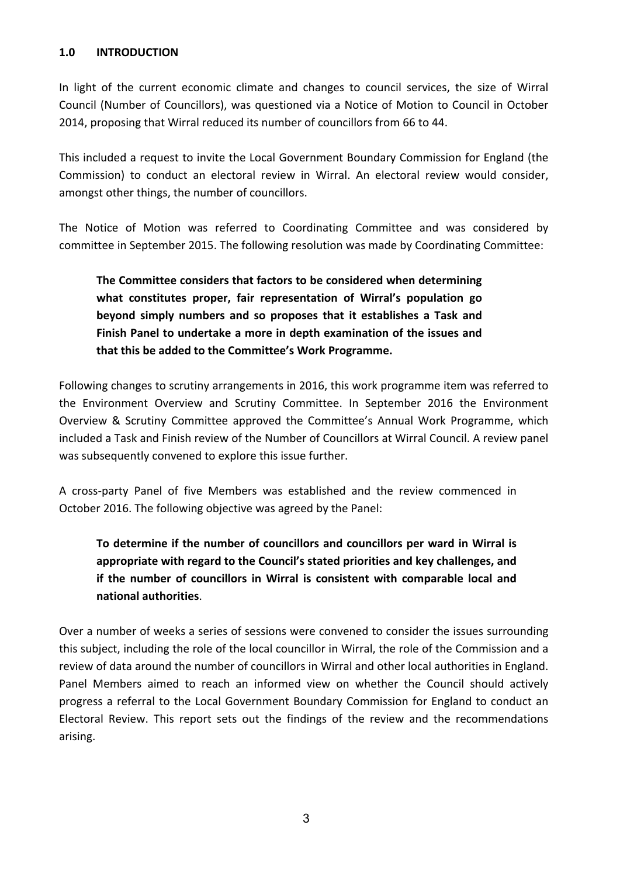#### **1.0 INTRODUCTION**

In light of the current economic climate and changes to council services, the size of Wirral Council (Number of Councillors), was questioned via a Notice of Motion to Council in October 2014, proposing that Wirral reduced its number of councillors from 66 to 44.

This included a request to invite the Local Government Boundary Commission for England (the Commission) to conduct an electoral review in Wirral. An electoral review would consider, amongst other things, the number of councillors.

The Notice of Motion was referred to Coordinating Committee and was considered by committee in September 2015. The following resolution was made by Coordinating Committee:

# **The Committee considers that factors to be considered when determining what constitutes proper, fair representation of Wirral's population go beyond simply numbers and so proposes that it establishes a Task and Finish Panel to undertake a more in depth examination of the issues and that this be added to the Committee's Work Programme.**

Following changes to scrutiny arrangements in 2016, this work programme item was referred to the Environment Overview and Scrutiny Committee. In September 2016 the Environment Overview & Scrutiny Committee approved the Committee's Annual Work Programme, which included a Task and Finish review of the Number of Councillors at Wirral Council. A review panel was subsequently convened to explore this issue further.

A cross-party Panel of five Members was established and the review commenced in October 2016. The following objective was agreed by the Panel:

# **To determine if the number of councillors and councillors per ward in Wirral is appropriate with regard to the Council's stated priorities and key challenges, and if the number of councillors in Wirral is consistent with comparable local and national authorities**.

Over a number of weeks a series of sessions were convened to consider the issues surrounding this subject, including the role of the local councillor in Wirral, the role of the Commission and a review of data around the number of councillors in Wirral and other local authorities in England. Panel Members aimed to reach an informed view on whether the Council should actively progress a referral to the Local Government Boundary Commission for England to conduct an Electoral Review. This report sets out the findings of the review and the recommendations arising.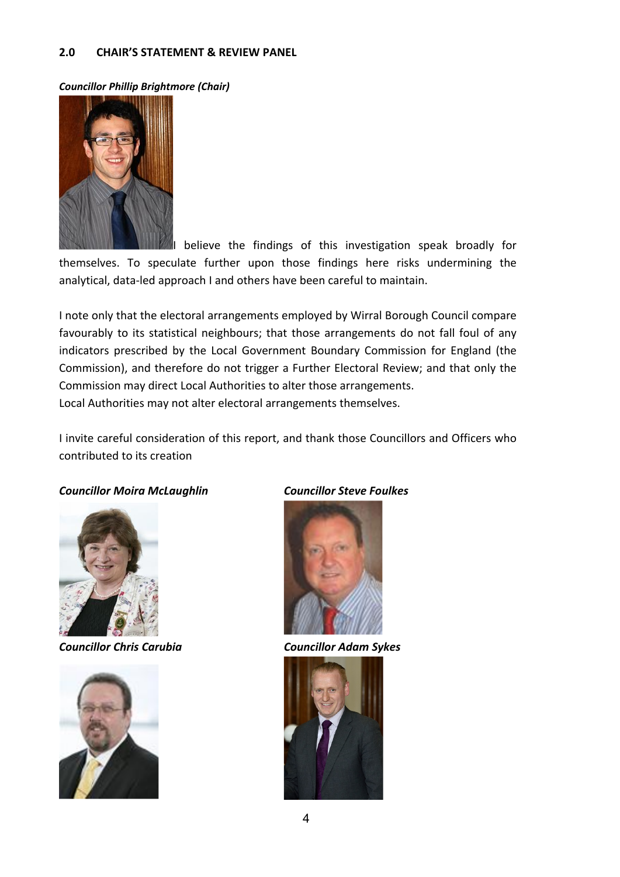#### **2.0 CHAIR'S STATEMENT & REVIEW PANEL**

*Councillor Phillip Brightmore (Chair)*



I believe the findings of this investigation speak broadly for themselves. To speculate further upon those findings here risks undermining the analytical, data-led approach I and others have been careful to maintain.

I note only that the electoral arrangements employed by Wirral Borough Council compare favourably to its statistical neighbours; that those arrangements do not fall foul of any indicators prescribed by the Local Government Boundary Commission for England (the Commission), and therefore do not trigger a Further Electoral Review; and that only the Commission may direct Local Authorities to alter those arrangements. Local Authorities may not alter electoral arrangements themselves.

I invite careful consideration of this report, and thank those Councillors and Officers who contributed to its creation

#### *Councillor Moira McLaughlin Councillor Steve Foulkes*



*Councillor Chris Carubia Councillor Adam Sykes*





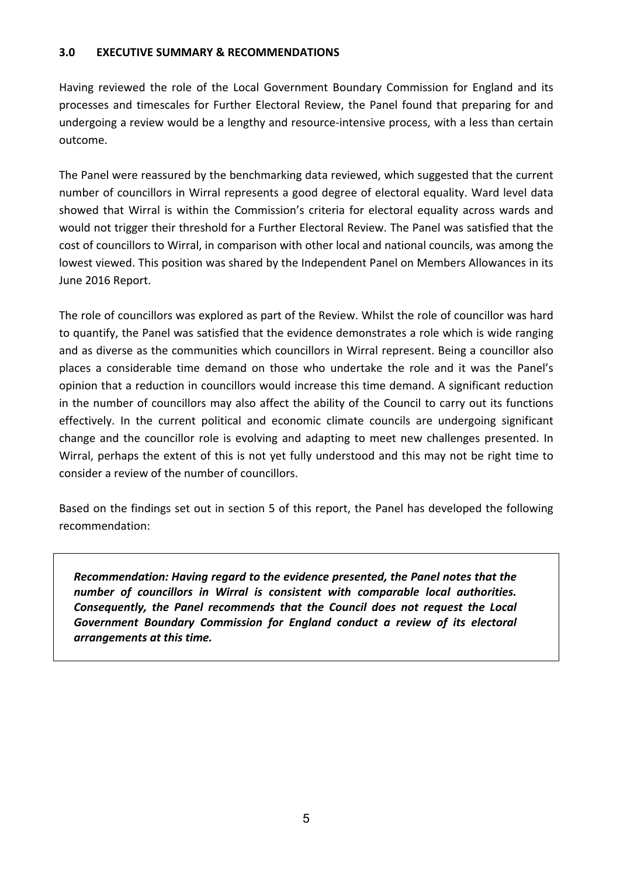#### **3.0 EXECUTIVE SUMMARY & RECOMMENDATIONS**

Having reviewed the role of the Local Government Boundary Commission for England and its processes and timescales for Further Electoral Review, the Panel found that preparing for and undergoing a review would be a lengthy and resource-intensive process, with a less than certain outcome.

The Panel were reassured by the benchmarking data reviewed, which suggested that the current number of councillors in Wirral represents a good degree of electoral equality. Ward level data showed that Wirral is within the Commission's criteria for electoral equality across wards and would not trigger their threshold for a Further Electoral Review. The Panel was satisfied that the cost of councillors to Wirral, in comparison with other local and national councils, was among the lowest viewed. This position was shared by the Independent Panel on Members Allowances in its June 2016 Report.

The role of councillors was explored as part of the Review. Whilst the role of councillor was hard to quantify, the Panel was satisfied that the evidence demonstrates a role which is wide ranging and as diverse as the communities which councillors in Wirral represent. Being a councillor also places a considerable time demand on those who undertake the role and it was the Panel's opinion that a reduction in councillors would increase this time demand. A significant reduction in the number of councillors may also affect the ability of the Council to carry out its functions effectively. In the current political and economic climate councils are undergoing significant change and the councillor role is evolving and adapting to meet new challenges presented. In Wirral, perhaps the extent of this is not yet fully understood and this may not be right time to consider a review of the number of councillors.

Based on the findings set out in section 5 of this report, the Panel has developed the following recommendation:

*Recommendation: Having regard to the evidence presented, the Panel notes that the number of councillors in Wirral is consistent with comparable local authorities. Consequently, the Panel recommends that the Council does not request the Local Government Boundary Commission for England conduct a review of its electoral arrangements at this time.*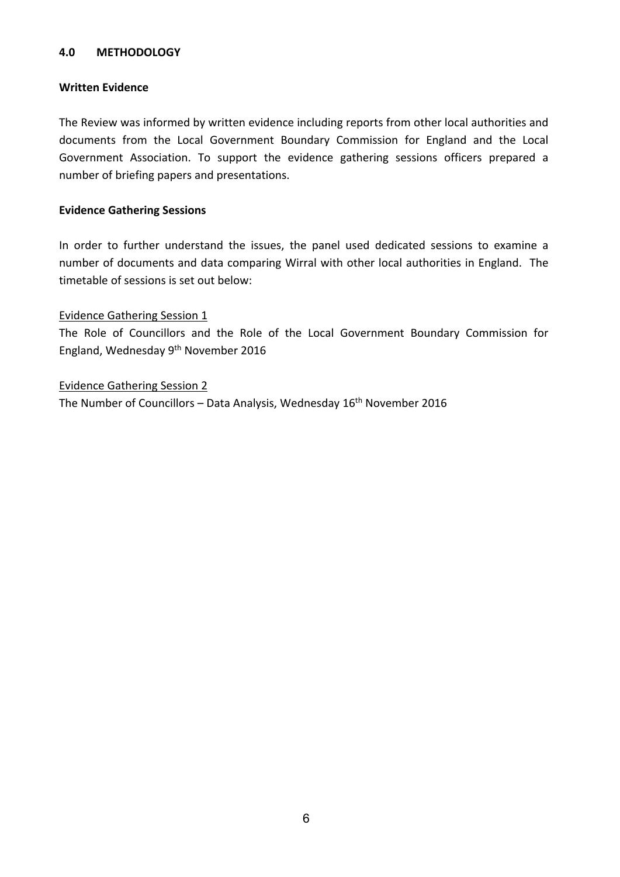#### **4.0 METHODOLOGY**

#### **Written Evidence**

The Review was informed by written evidence including reports from other local authorities and documents from the Local Government Boundary Commission for England and the Local Government Association. To support the evidence gathering sessions officers prepared a number of briefing papers and presentations.

#### **Evidence Gathering Sessions**

In order to further understand the issues, the panel used dedicated sessions to examine a number of documents and data comparing Wirral with other local authorities in England. The timetable of sessions is set out below:

#### Evidence Gathering Session 1

The Role of Councillors and the Role of the Local Government Boundary Commission for England, Wednesday 9<sup>th</sup> November 2016

#### Evidence Gathering Session 2

The Number of Councillors – Data Analysis, Wednesday 16<sup>th</sup> November 2016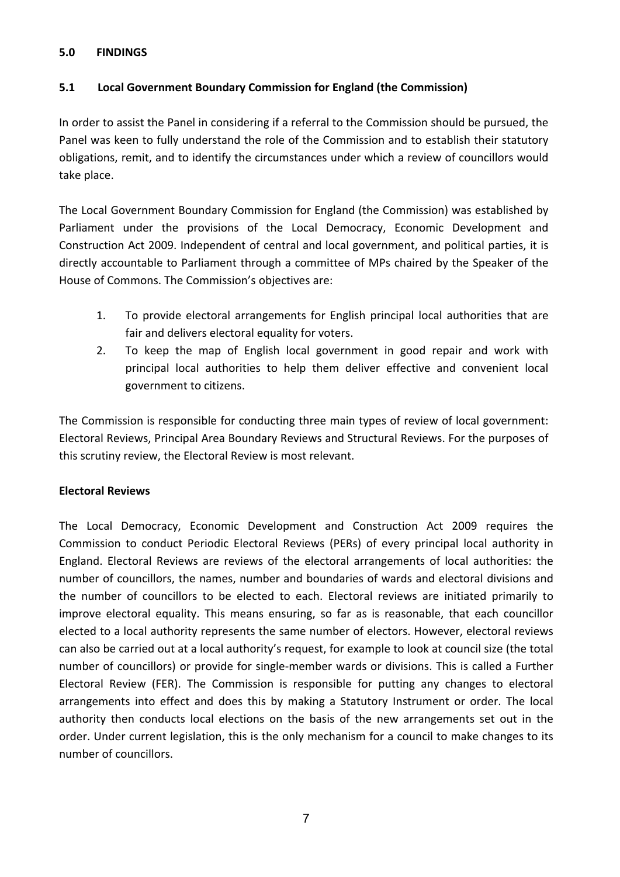#### **5.0 FINDINGS**

#### **5.1 Local Government Boundary Commission for England (the Commission)**

In order to assist the Panel in considering if a referral to the Commission should be pursued, the Panel was keen to fully understand the role of the Commission and to establish their statutory obligations, remit, and to identify the circumstances under which a review of councillors would take place.

The Local Government Boundary Commission for England (the Commission) was established by Parliament under the provisions of the Local Democracy, Economic Development and Construction Act 2009. Independent of central and local government, and political parties, it is directly accountable to Parliament through a committee of MPs chaired by the Speaker of the House of Commons. The Commission's objectives are:

- 1. To provide electoral arrangements for English principal local authorities that are fair and delivers electoral equality for voters.
- 2. To keep the map of English local government in good repair and work with principal local authorities to help them deliver effective and convenient local government to citizens.

The Commission is responsible for conducting three main types of review of local government: Electoral Reviews, Principal Area Boundary Reviews and Structural Reviews. For the purposes of this scrutiny review, the Electoral Review is most relevant.

#### **Electoral Reviews**

The Local Democracy, Economic Development and Construction Act 2009 requires the Commission to conduct Periodic Electoral Reviews (PERs) of every principal local authority in England. Electoral Reviews are reviews of the electoral arrangements of local authorities: the number of councillors, the names, number and boundaries of wards and electoral divisions and the number of councillors to be elected to each. Electoral reviews are initiated primarily to improve electoral equality. This means ensuring, so far as is reasonable, that each councillor elected to a local authority represents the same number of electors. However, electoral reviews can also be carried out at a local authority's request, for example to look at council size (the total number of councillors) or provide for single-member wards or divisions. This is called a Further Electoral Review (FER). The Commission is responsible for putting any changes to electoral arrangements into effect and does this by making a Statutory Instrument or order. The local authority then conducts local elections on the basis of the new arrangements set out in the order. Under current legislation, this is the only mechanism for a council to make changes to its number of councillors.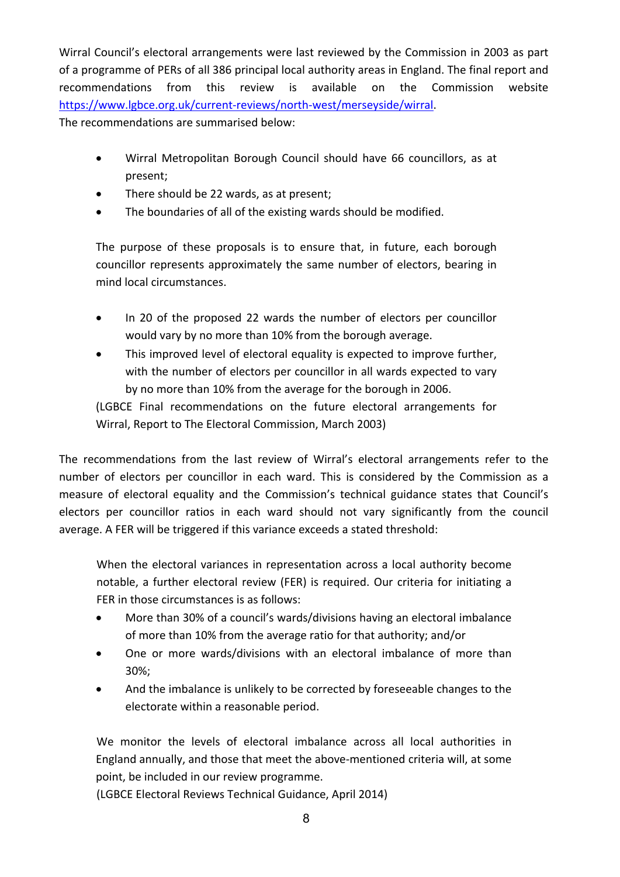Wirral Council's electoral arrangements were last reviewed by the Commission in 2003 as part of a programme of PERs of all 386 principal local authority areas in England. The final report and recommendations from this review is available on the Commission website [https://www.lgbce.org.uk/current-reviews/north-west/merseyside/wirral.](https://www.lgbce.org.uk/current-reviews/north-west/merseyside/wirral) The recommendations are summarised below:

- Wirral Metropolitan Borough Council should have 66 councillors, as at present;
- There should be 22 wards, as at present;
- The boundaries of all of the existing wards should be modified.

The purpose of these proposals is to ensure that, in future, each borough councillor represents approximately the same number of electors, bearing in mind local circumstances.

- In 20 of the proposed 22 wards the number of electors per councillor would vary by no more than 10% from the borough average.
- This improved level of electoral equality is expected to improve further, with the number of electors per councillor in all wards expected to vary by no more than 10% from the average for the borough in 2006.

(LGBCE Final recommendations on the future electoral arrangements for Wirral, Report to The Electoral Commission, March 2003)

The recommendations from the last review of Wirral's electoral arrangements refer to the number of electors per councillor in each ward. This is considered by the Commission as a measure of electoral equality and the Commission's technical guidance states that Council's electors per councillor ratios in each ward should not vary significantly from the council average. A FER will be triggered if this variance exceeds a stated threshold:

When the electoral variances in representation across a local authority become notable, a further electoral review (FER) is required. Our criteria for initiating a FER in those circumstances is as follows:

- More than 30% of a council's wards/divisions having an electoral imbalance of more than 10% from the average ratio for that authority; and/or
- One or more wards/divisions with an electoral imbalance of more than 30%;
- And the imbalance is unlikely to be corrected by foreseeable changes to the electorate within a reasonable period.

We monitor the levels of electoral imbalance across all local authorities in England annually, and those that meet the above-mentioned criteria will, at some point, be included in our review programme.

(LGBCE Electoral Reviews Technical Guidance, April 2014)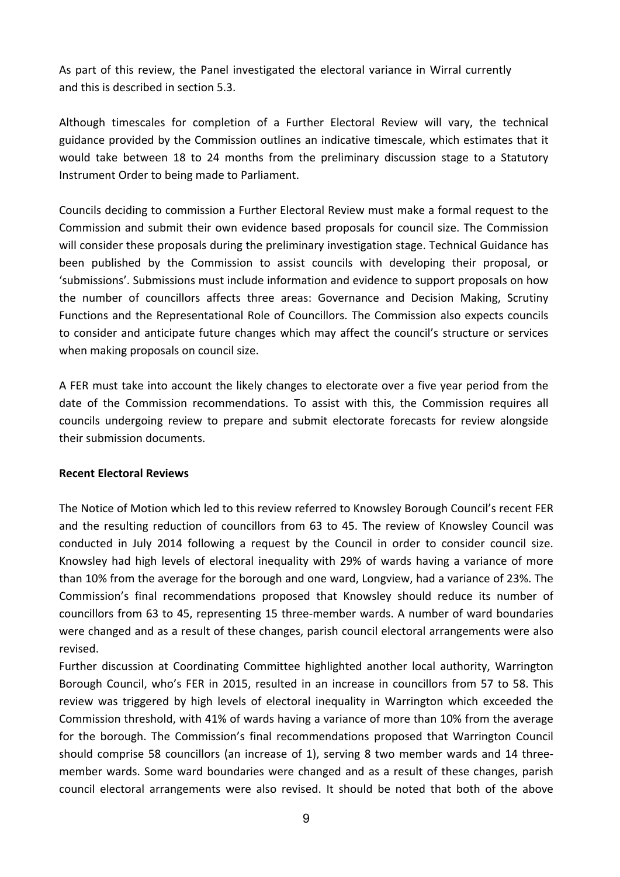As part of this review, the Panel investigated the electoral variance in Wirral currently and this is described in section 5.3.

Although timescales for completion of a Further Electoral Review will vary, the technical guidance provided by the Commission outlines an indicative timescale, which estimates that it would take between 18 to 24 months from the preliminary discussion stage to a Statutory Instrument Order to being made to Parliament.

Councils deciding to commission a Further Electoral Review must make a formal request to the Commission and submit their own evidence based proposals for council size. The Commission will consider these proposals during the preliminary investigation stage. Technical Guidance has been published by the Commission to assist councils with developing their proposal, or 'submissions'. Submissions must include information and evidence to support proposals on how the number of councillors affects three areas: Governance and Decision Making, Scrutiny Functions and the Representational Role of Councillors. The Commission also expects councils to consider and anticipate future changes which may affect the council's structure or services when making proposals on council size.

A FER must take into account the likely changes to electorate over a five year period from the date of the Commission recommendations. To assist with this, the Commission requires all councils undergoing review to prepare and submit electorate forecasts for review alongside their submission documents.

#### **Recent Electoral Reviews**

The Notice of Motion which led to this review referred to Knowsley Borough Council's recent FER and the resulting reduction of councillors from 63 to 45. The review of Knowsley Council was conducted in July 2014 following a request by the Council in order to consider council size. Knowsley had high levels of electoral inequality with 29% of wards having a variance of more than 10% from the average for the borough and one ward, Longview, had a variance of 23%. The Commission's final recommendations proposed that Knowsley should reduce its number of councillors from 63 to 45, representing 15 three-member wards. A number of ward boundaries were changed and as a result of these changes, parish council electoral arrangements were also revised.

Further discussion at Coordinating Committee highlighted another local authority, Warrington Borough Council, who's FER in 2015, resulted in an increase in councillors from 57 to 58. This review was triggered by high levels of electoral inequality in Warrington which exceeded the Commission threshold, with 41% of wards having a variance of more than 10% from the average for the borough. The Commission's final recommendations proposed that Warrington Council should comprise 58 councillors (an increase of 1), serving 8 two member wards and 14 threemember wards. Some ward boundaries were changed and as a result of these changes, parish council electoral arrangements were also revised. It should be noted that both of the above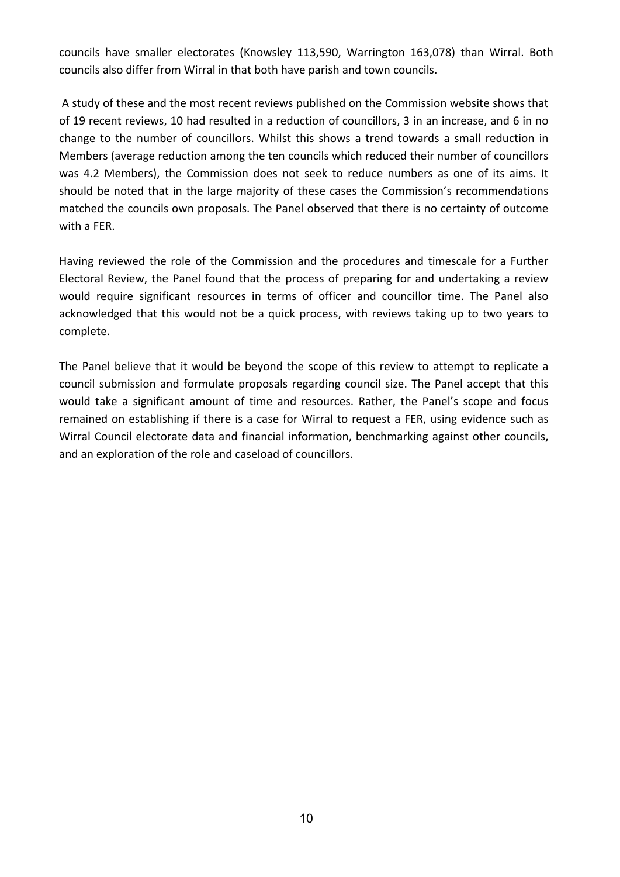councils have smaller electorates (Knowsley 113,590, Warrington 163,078) than Wirral. Both councils also differ from Wirral in that both have parish and town councils.

A study of these and the most recent reviews published on the Commission website shows that of 19 recent reviews, 10 had resulted in a reduction of councillors, 3 in an increase, and 6 in no change to the number of councillors. Whilst this shows a trend towards a small reduction in Members (average reduction among the ten councils which reduced their number of councillors was 4.2 Members), the Commission does not seek to reduce numbers as one of its aims. It should be noted that in the large majority of these cases the Commission's recommendations matched the councils own proposals. The Panel observed that there is no certainty of outcome with a FER.

Having reviewed the role of the Commission and the procedures and timescale for a Further Electoral Review, the Panel found that the process of preparing for and undertaking a review would require significant resources in terms of officer and councillor time. The Panel also acknowledged that this would not be a quick process, with reviews taking up to two years to complete.

The Panel believe that it would be beyond the scope of this review to attempt to replicate a council submission and formulate proposals regarding council size. The Panel accept that this would take a significant amount of time and resources. Rather, the Panel's scope and focus remained on establishing if there is a case for Wirral to request a FER, using evidence such as Wirral Council electorate data and financial information, benchmarking against other councils, and an exploration of the role and caseload of councillors.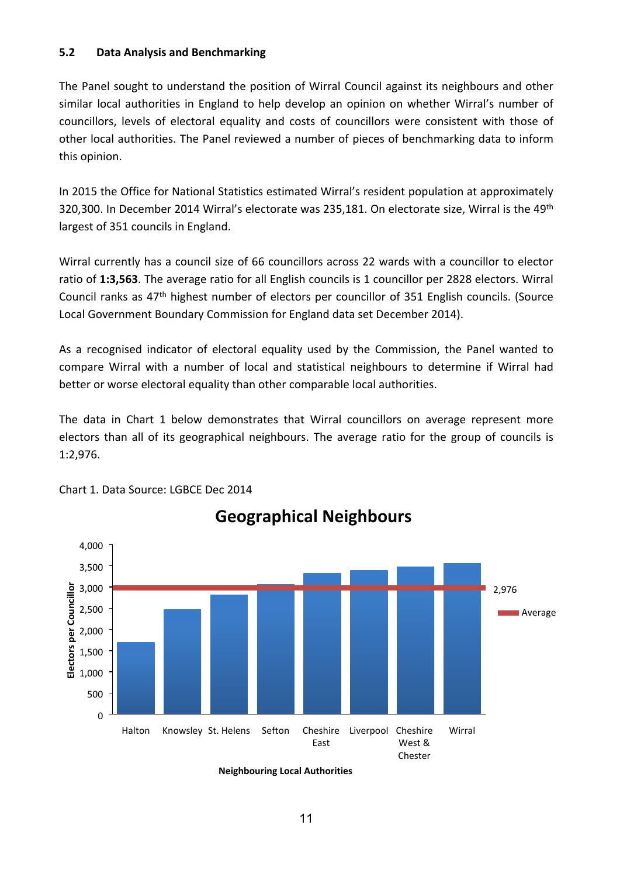#### **5.2 Data Analysis and Benchmarking**

The Panel sought to understand the position of Wirral Council against its neighbours and other similar local authorities in England to help develop an opinion on whether Wirral's number of councillors, levels of electoral equality and costs of councillors were consistent with those of other local authorities. The Panel reviewed a number of pieces of benchmarking data to inform this opinion.

In 2015 the Office for National Statistics estimated Wirral's resident population at approximately 320,300. In December 2014 Wirral's electorate was 235,181. On electorate size, Wirral is the 49th largest of 351 councils in England.

Wirral currently has a council size of 66 councillors across 22 wards with a councillor to elector ratio of **1:3,563**. The average ratio for all English councils is 1 councillor per 2828 electors. Wirral Council ranks as 47th highest number of electors per councillor of 351 English councils. (Source Local Government Boundary Commission for England data set December 2014).

As a recognised indicator of electoral equality used by the Commission, the Panel wanted to compare Wirral with a number of local and statistical neighbours to determine if Wirral had better or worse electoral equality than other comparable local authorities.

The data in Chart 1 below demonstrates that Wirral councillors on average represent more electors than all of its geographical neighbours. The average ratio for the group of councils is 1:2,976.

**Geographical Neighbours**



Chart 1. Data Source: LGBCE Dec 2014

**Neighbouring Local Authorities**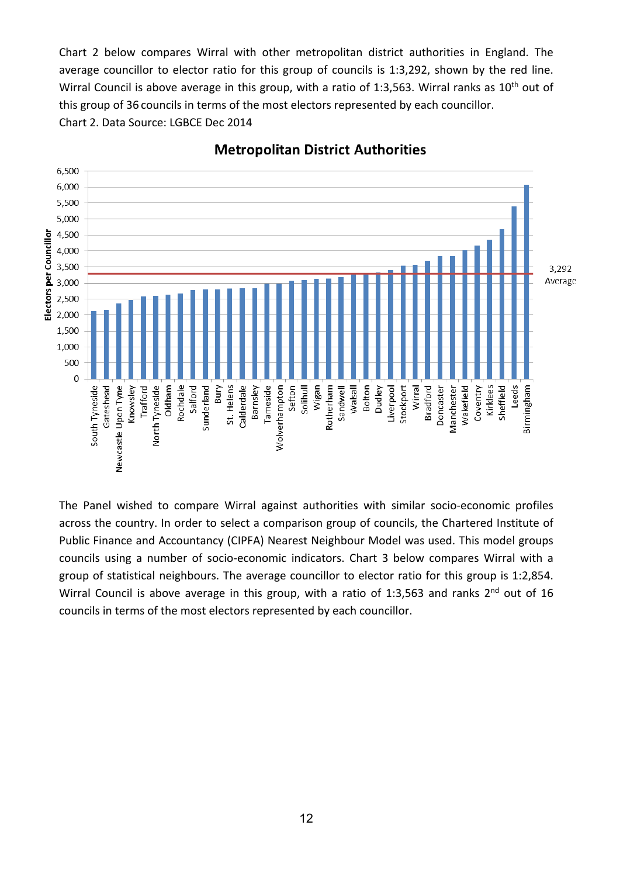Chart 2 below compares Wirral with other metropolitan district authorities in England. The average councillor to elector ratio for this group of councils is 1:3,292, shown by the red line. Wirral Council is above average in this group, with a ratio of 1:3,563. Wirral ranks as  $10<sup>th</sup>$  out of this group of 36 councils in terms of the most electors represented by each councillor. Chart 2. Data Source: LGBCE Dec 2014



**Metropolitan District Authorities** 

The Panel wished to compare Wirral against authorities with similar socio-economic profiles across the country. In order to select a comparison group of councils, the Chartered Institute of Public Finance and Accountancy (CIPFA) Nearest Neighbour Model was used. This model groups councils using a number of socio-economic indicators. Chart 3 below compares Wirral with a group of statistical neighbours. The average councillor to elector ratio for this group is 1:2,854. Wirral Council is above average in this group, with a ratio of 1:3,563 and ranks 2<sup>nd</sup> out of 16 councils in terms of the most electors represented by each councillor.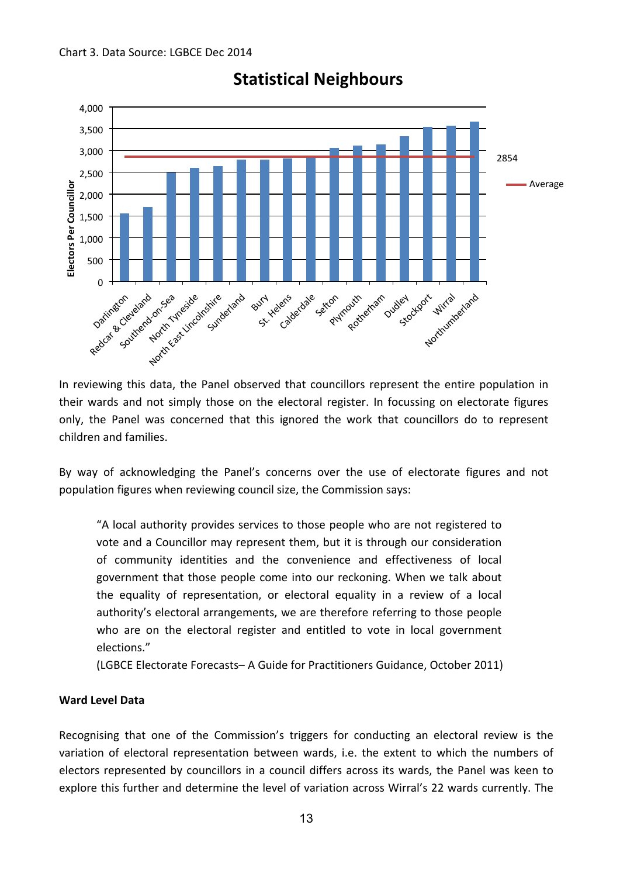

# **Statistical Neighbours**

In reviewing this data, the Panel observed that councillors represent the entire population in their wards and not simply those on the electoral register. In focussing on electorate figures only, the Panel was concerned that this ignored the work that councillors do to represent children and families.

By way of acknowledging the Panel's concerns over the use of electorate figures and not population figures when reviewing council size, the Commission says:

"A local authority provides services to those people who are not registered to vote and a Councillor may represent them, but it is through our consideration of community identities and the convenience and effectiveness of local government that those people come into our reckoning. When we talk about the equality of representation, or electoral equality in a review of a local authority's electoral arrangements, we are therefore referring to those people who are on the electoral register and entitled to vote in local government elections."

(LGBCE Electorate Forecasts– A Guide for Practitioners Guidance, October 2011)

#### **Ward Level Data**

Recognising that one of the Commission's triggers for conducting an electoral review is the variation of electoral representation between wards, i.e. the extent to which the numbers of electors represented by councillors in a council differs across its wards, the Panel was keen to explore this further and determine the level of variation across Wirral's 22 wards currently. The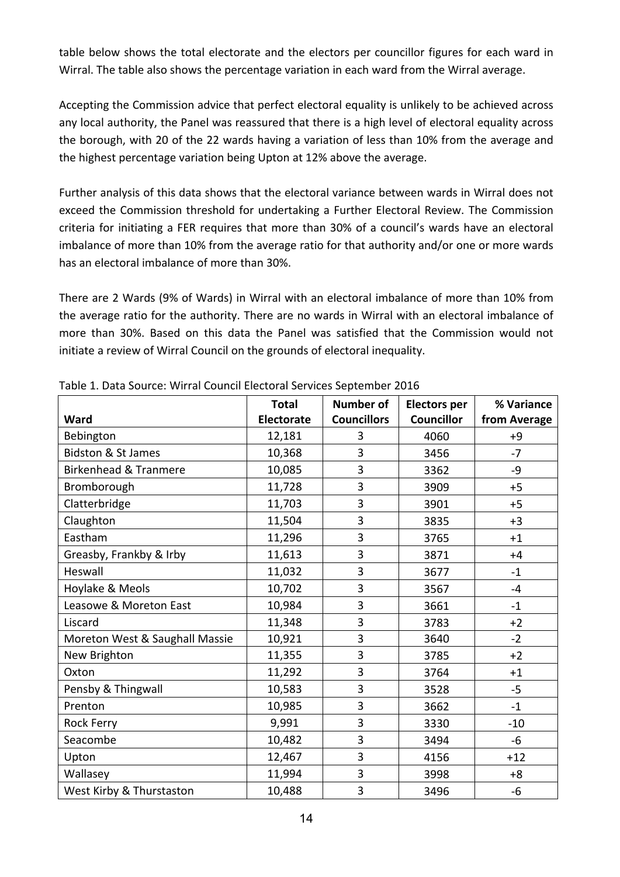table below shows the total electorate and the electors per councillor figures for each ward in Wirral. The table also shows the percentage variation in each ward from the Wirral average.

Accepting the Commission advice that perfect electoral equality is unlikely to be achieved across any local authority, the Panel was reassured that there is a high level of electoral equality across the borough, with 20 of the 22 wards having a variation of less than 10% from the average and the highest percentage variation being Upton at 12% above the average.

Further analysis of this data shows that the electoral variance between wards in Wirral does not exceed the Commission threshold for undertaking a Further Electoral Review. The Commission criteria for initiating a FER requires that more than 30% of a council's wards have an electoral imbalance of more than 10% from the average ratio for that authority and/or one or more wards has an electoral imbalance of more than 30%.

There are 2 Wards (9% of Wards) in Wirral with an electoral imbalance of more than 10% from the average ratio for the authority. There are no wards in Wirral with an electoral imbalance of more than 30%. Based on this data the Panel was satisfied that the Commission would not initiate a review of Wirral Council on the grounds of electoral inequality.

|                                  | <b>Total</b>      | <b>Number of</b>   | <b>Electors per</b> | % Variance   |
|----------------------------------|-------------------|--------------------|---------------------|--------------|
| Ward                             | <b>Electorate</b> | <b>Councillors</b> | <b>Councillor</b>   | from Average |
| Bebington                        | 12,181            | 3                  | 4060                | $+9$         |
| <b>Bidston &amp; St James</b>    | 10,368            | 3                  | 3456                | $-7$         |
| <b>Birkenhead &amp; Tranmere</b> | 10,085            | 3                  | 3362                | -9           |
| Bromborough                      | 11,728            | 3                  | 3909                | $+5$         |
| Clatterbridge                    | 11,703            | 3                  | 3901                | $+5$         |
| Claughton                        | 11,504            | 3                  | 3835                | $+3$         |
| Eastham                          | 11,296            | 3                  | 3765                | $+1$         |
| Greasby, Frankby & Irby          | 11,613            | 3                  | 3871                | $+4$         |
| Heswall                          | 11,032            | 3                  | 3677                | $-1$         |
| Hoylake & Meols                  | 10,702            | 3                  | 3567                | $-4$         |
| Leasowe & Moreton East           | 10,984            | 3                  | 3661                | $-1$         |
| Liscard                          | 11,348            | 3                  | 3783                | $+2$         |
| Moreton West & Saughall Massie   | 10,921            | 3                  | 3640                | $-2$         |
| New Brighton                     | 11,355            | 3                  | 3785                | $+2$         |
| Oxton                            | 11,292            | 3                  | 3764                | $+1$         |
| Pensby & Thingwall               | 10,583            | 3                  | 3528                | $-5$         |
| Prenton                          | 10,985            | 3                  | 3662                | $-1$         |
| <b>Rock Ferry</b>                | 9,991             | 3                  | 3330                | $-10$        |
| Seacombe                         | 10,482            | 3                  | 3494                | -6           |
| Upton                            | 12,467            | 3                  | 4156                | $+12$        |
| Wallasey                         | 11,994            | 3                  | 3998                | $+8$         |
| West Kirby & Thurstaston         | 10,488            | 3                  | 3496                | -6           |

Table 1. Data Source: Wirral Council Electoral Services September 2016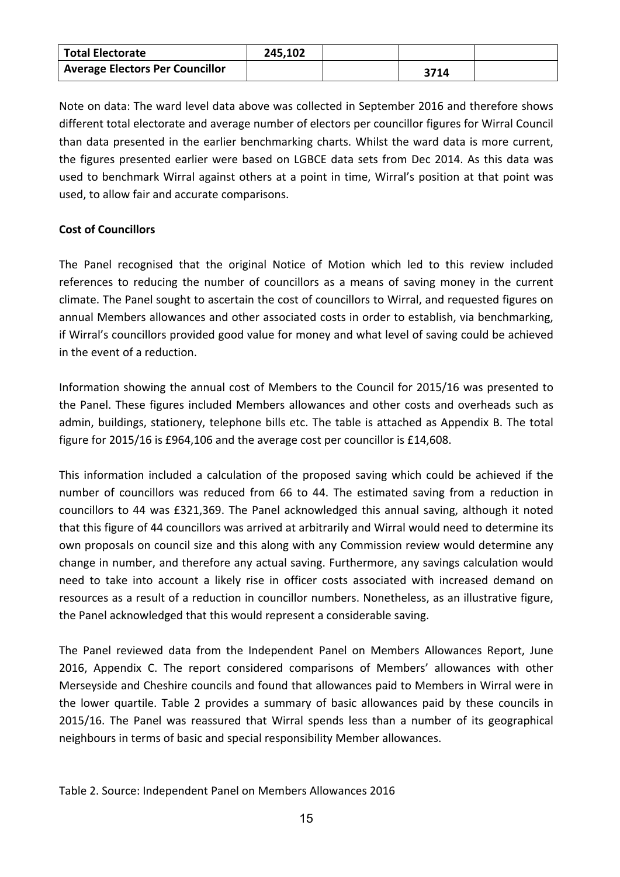| <b>Total Electorate</b>                | 245,102 |      |  |
|----------------------------------------|---------|------|--|
| <b>Average Electors Per Councillor</b> |         | 3714 |  |

Note on data: The ward level data above was collected in September 2016 and therefore shows different total electorate and average number of electors per councillor figures for Wirral Council than data presented in the earlier benchmarking charts. Whilst the ward data is more current, the figures presented earlier were based on LGBCE data sets from Dec 2014. As this data was used to benchmark Wirral against others at a point in time, Wirral's position at that point was used, to allow fair and accurate comparisons.

#### **Cost of Councillors**

The Panel recognised that the original Notice of Motion which led to this review included references to reducing the number of councillors as a means of saving money in the current climate. The Panel sought to ascertain the cost of councillors to Wirral, and requested figures on annual Members allowances and other associated costs in order to establish, via benchmarking, if Wirral's councillors provided good value for money and what level of saving could be achieved in the event of a reduction.

Information showing the annual cost of Members to the Council for 2015/16 was presented to the Panel. These figures included Members allowances and other costs and overheads such as admin, buildings, stationery, telephone bills etc. The table is attached as Appendix B. The total figure for 2015/16 is £964,106 and the average cost per councillor is £14,608.

This information included a calculation of the proposed saving which could be achieved if the number of councillors was reduced from 66 to 44. The estimated saving from a reduction in councillors to 44 was £321,369. The Panel acknowledged this annual saving, although it noted that this figure of 44 councillors was arrived at arbitrarily and Wirral would need to determine its own proposals on council size and this along with any Commission review would determine any change in number, and therefore any actual saving. Furthermore, any savings calculation would need to take into account a likely rise in officer costs associated with increased demand on resources as a result of a reduction in councillor numbers. Nonetheless, as an illustrative figure, the Panel acknowledged that this would represent a considerable saving.

The Panel reviewed data from the Independent Panel on Members Allowances Report, June 2016, Appendix C. The report considered comparisons of Members' allowances with other Merseyside and Cheshire councils and found that allowances paid to Members in Wirral were in the lower quartile. Table 2 provides a summary of basic allowances paid by these councils in 2015/16. The Panel was reassured that Wirral spends less than a number of its geographical neighbours in terms of basic and special responsibility Member allowances.

Table 2. Source: Independent Panel on Members Allowances 2016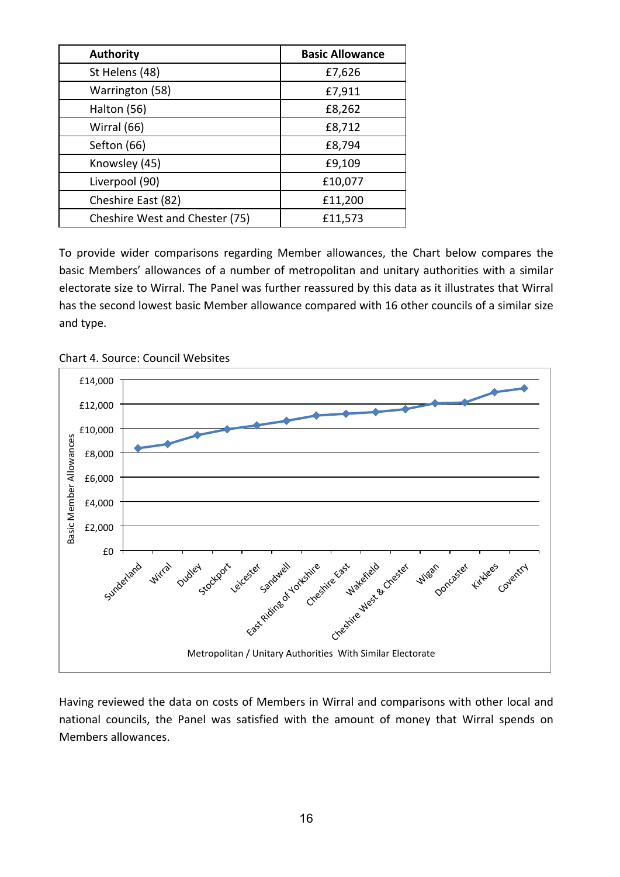| <b>Authority</b>               | <b>Basic Allowance</b> |
|--------------------------------|------------------------|
| St Helens (48)                 | £7,626                 |
| Warrington (58)                | £7,911                 |
| Halton (56)                    | £8,262                 |
| Wirral (66)                    | £8,712                 |
| Sefton (66)                    | £8,794                 |
| Knowsley (45)                  | £9,109                 |
| Liverpool (90)                 | £10,077                |
| Cheshire East (82)             | £11,200                |
| Cheshire West and Chester (75) | £11,573                |

To provide wider comparisons regarding Member allowances, the Chart below compares the basic Members' allowances of a number of metropolitan and unitary authorities with a similar electorate size to Wirral. The Panel was further reassured by this data as it illustrates that Wirral has the second lowest basic Member allowance compared with 16 other councils of a similar size and type.



Chart 4. Source: Council Websites

Having reviewed the data on costs of Members in Wirral and comparisons with other local and national councils, the Panel was satisfied with the amount of money that Wirral spends on Members allowances.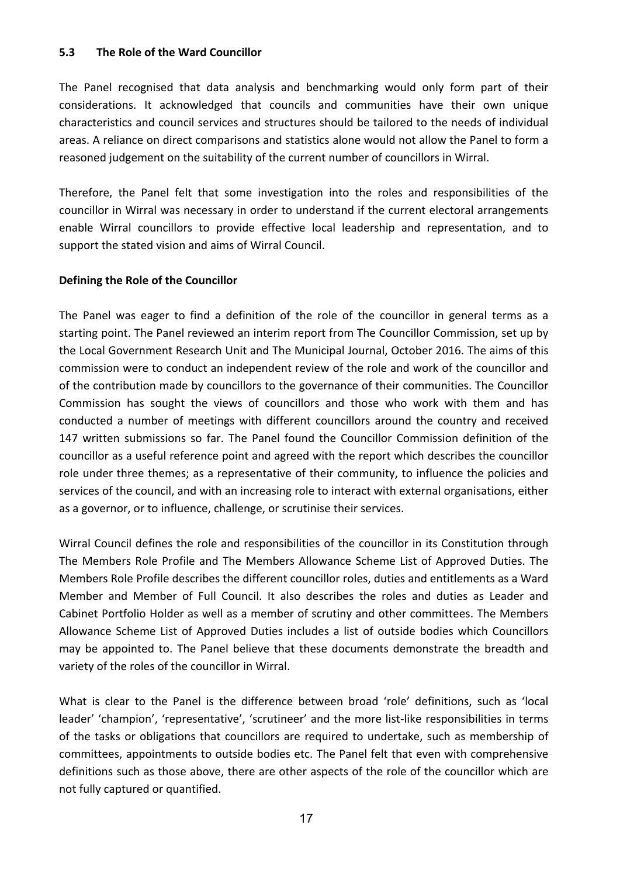#### **5.3 The Role of the Ward Councillor**

The Panel recognised that data analysis and benchmarking would only form part of their considerations. It acknowledged that councils and communities have their own unique characteristics and council services and structures should be tailored to the needs of individual areas. A reliance on direct comparisons and statistics alone would not allow the Panel to form a reasoned judgement on the suitability of the current number of councillors in Wirral.

Therefore, the Panel felt that some investigation into the roles and responsibilities of the councillor in Wirral was necessary in order to understand if the current electoral arrangements enable Wirral councillors to provide effective local leadership and representation, and to support the stated vision and aims of Wirral Council.

#### **Defining the Role of the Councillor**

The Panel was eager to find a definition of the role of the councillor in general terms as a starting point. The Panel reviewed an interim report from The Councillor Commission, set up by the Local Government Research Unit and The Municipal Journal, October 2016. The aims of this commission were to conduct an independent review of the role and work of the councillor and of the contribution made by councillors to the governance of their communities. The Councillor Commission has sought the views of councillors and those who work with them and has conducted a number of meetings with different councillors around the country and received 147 written submissions so far. The Panel found the Councillor Commission definition of the councillor as a useful reference point and agreed with the report which describes the councillor role under three themes; as a representative of their community, to influence the policies and services of the council, and with an increasing role to interact with external organisations, either as a governor, or to influence, challenge, or scrutinise their services.

Wirral Council defines the role and responsibilities of the councillor in its Constitution through The Members Role Profile and The Members Allowance Scheme List of Approved Duties. The Members Role Profile describes the different councillor roles, duties and entitlements as a Ward Member and Member of Full Council. It also describes the roles and duties as Leader and Cabinet Portfolio Holder as well as a member of scrutiny and other committees. The Members Allowance Scheme List of Approved Duties includes a list of outside bodies which Councillors may be appointed to. The Panel believe that these documents demonstrate the breadth and variety of the roles of the councillor in Wirral.

What is clear to the Panel is the difference between broad 'role' definitions, such as 'local leader' 'champion', 'representative', 'scrutineer' and the more list-like responsibilities in terms of the tasks or obligations that councillors are required to undertake, such as membership of committees, appointments to outside bodies etc. The Panel felt that even with comprehensive definitions such as those above, there are other aspects of the role of the councillor which are not fully captured or quantified.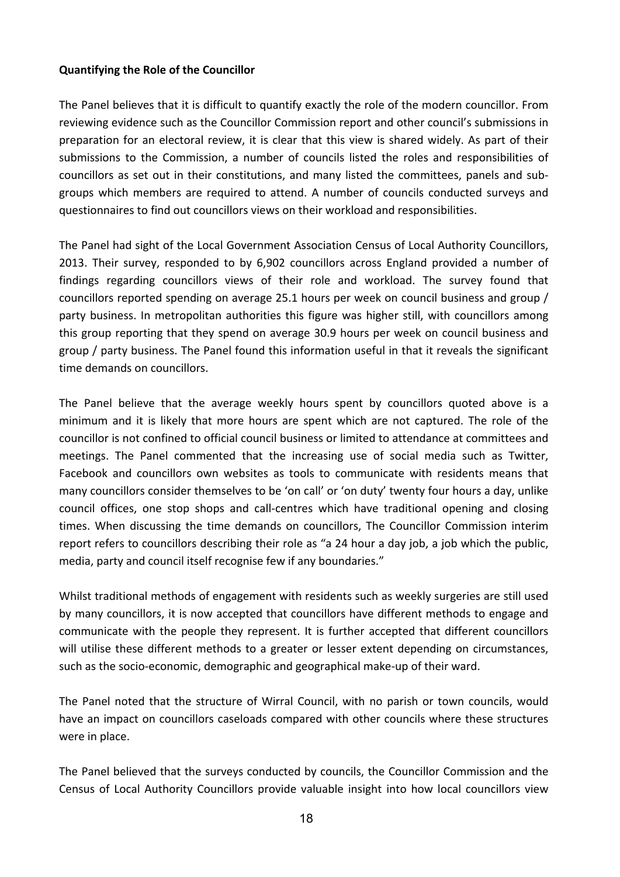#### **Quantifying the Role of the Councillor**

The Panel believes that it is difficult to quantify exactly the role of the modern councillor. From reviewing evidence such as the Councillor Commission report and other council's submissions in preparation for an electoral review, it is clear that this view is shared widely. As part of their submissions to the Commission, a number of councils listed the roles and responsibilities of councillors as set out in their constitutions, and many listed the committees, panels and subgroups which members are required to attend. A number of councils conducted surveys and questionnaires to find out councillors views on their workload and responsibilities.

The Panel had sight of the Local Government Association Census of Local Authority Councillors, 2013. Their survey, responded to by 6,902 councillors across England provided a number of findings regarding councillors views of their role and workload. The survey found that councillors reported spending on average 25.1 hours per week on council business and group / party business. In metropolitan authorities this figure was higher still, with councillors among this group reporting that they spend on average 30.9 hours per week on council business and group / party business. The Panel found this information useful in that it reveals the significant time demands on councillors.

The Panel believe that the average weekly hours spent by councillors quoted above is a minimum and it is likely that more hours are spent which are not captured. The role of the councillor is not confined to official council business or limited to attendance at committees and meetings. The Panel commented that the increasing use of social media such as Twitter, Facebook and councillors own websites as tools to communicate with residents means that many councillors consider themselves to be 'on call' or 'on duty' twenty four hours a day, unlike council offices, one stop shops and call-centres which have traditional opening and closing times. When discussing the time demands on councillors, The Councillor Commission interim report refers to councillors describing their role as "a 24 hour a day job, a job which the public, media, party and council itself recognise few if any boundaries."

Whilst traditional methods of engagement with residents such as weekly surgeries are still used by many councillors, it is now accepted that councillors have different methods to engage and communicate with the people they represent. It is further accepted that different councillors will utilise these different methods to a greater or lesser extent depending on circumstances, such as the socio-economic, demographic and geographical make-up of their ward.

The Panel noted that the structure of Wirral Council, with no parish or town councils, would have an impact on councillors caseloads compared with other councils where these structures were in place.

The Panel believed that the surveys conducted by councils, the Councillor Commission and the Census of Local Authority Councillors provide valuable insight into how local councillors view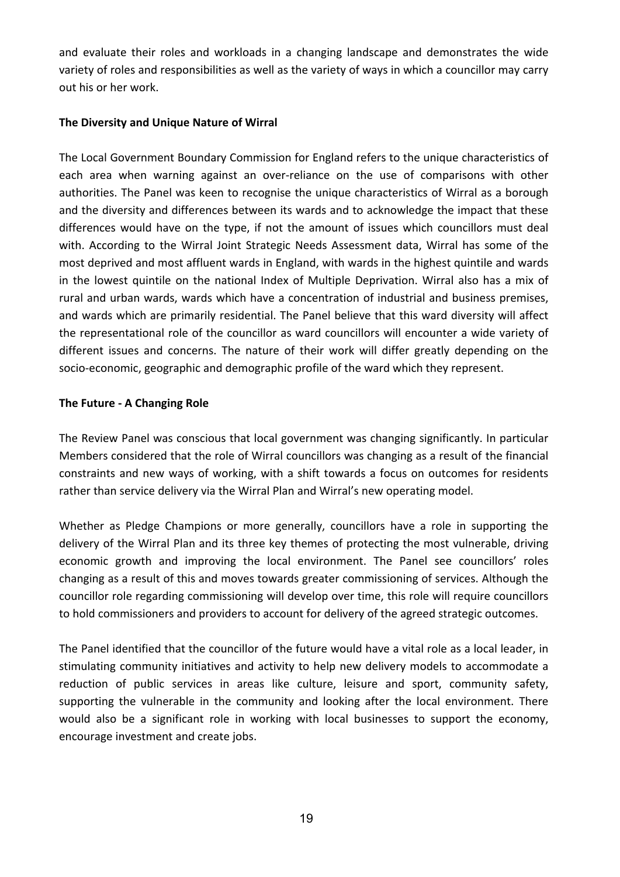and evaluate their roles and workloads in a changing landscape and demonstrates the wide variety of roles and responsibilities as well as the variety of ways in which a councillor may carry out his or her work.

#### **The Diversity and Unique Nature of Wirral**

The Local Government Boundary Commission for England refers to the unique characteristics of each area when warning against an over-reliance on the use of comparisons with other authorities. The Panel was keen to recognise the unique characteristics of Wirral as a borough and the diversity and differences between its wards and to acknowledge the impact that these differences would have on the type, if not the amount of issues which councillors must deal with. According to the Wirral Joint Strategic Needs Assessment data, Wirral has some of the most deprived and most affluent wards in England, with wards in the highest quintile and wards in the lowest quintile on the national Index of Multiple Deprivation. Wirral also has a mix of rural and urban wards, wards which have a concentration of industrial and business premises, and wards which are primarily residential. The Panel believe that this ward diversity will affect the representational role of the councillor as ward councillors will encounter a wide variety of different issues and concerns. The nature of their work will differ greatly depending on the socio-economic, geographic and demographic profile of the ward which they represent.

#### **The Future - A Changing Role**

The Review Panel was conscious that local government was changing significantly. In particular Members considered that the role of Wirral councillors was changing as a result of the financial constraints and new ways of working, with a shift towards a focus on outcomes for residents rather than service delivery via the Wirral Plan and Wirral's new operating model.

Whether as Pledge Champions or more generally, councillors have a role in supporting the delivery of the Wirral Plan and its three key themes of protecting the most vulnerable, driving economic growth and improving the local environment. The Panel see councillors' roles changing as a result of this and moves towards greater commissioning of services. Although the councillor role regarding commissioning will develop over time, this role will require councillors to hold commissioners and providers to account for delivery of the agreed strategic outcomes.

The Panel identified that the councillor of the future would have a vital role as a local leader, in stimulating community initiatives and activity to help new delivery models to accommodate a reduction of public services in areas like culture, leisure and sport, community safety, supporting the vulnerable in the community and looking after the local environment. There would also be a significant role in working with local businesses to support the economy, encourage investment and create jobs.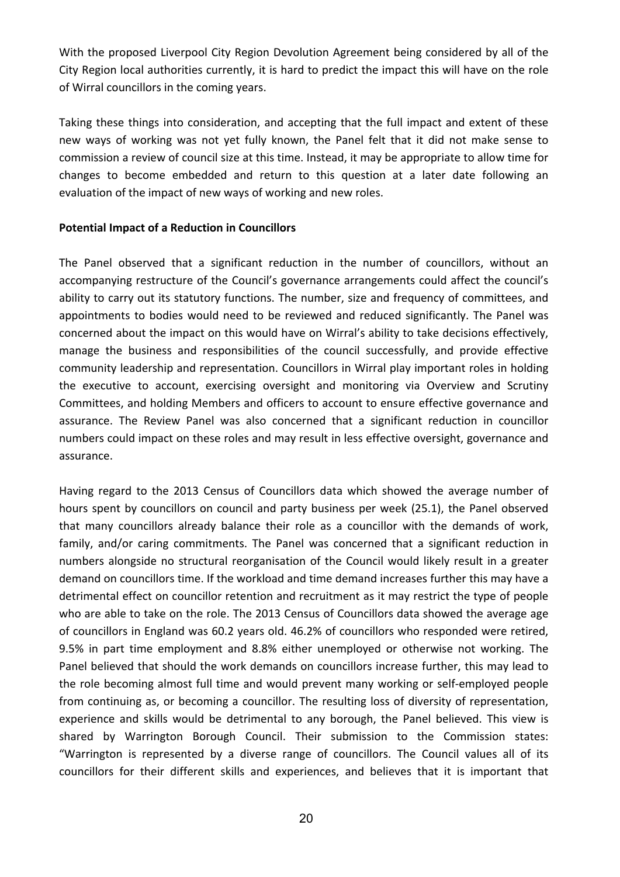With the proposed Liverpool City Region Devolution Agreement being considered by all of the City Region local authorities currently, it is hard to predict the impact this will have on the role of Wirral councillors in the coming years.

Taking these things into consideration, and accepting that the full impact and extent of these new ways of working was not yet fully known, the Panel felt that it did not make sense to commission a review of council size at this time. Instead, it may be appropriate to allow time for changes to become embedded and return to this question at a later date following an evaluation of the impact of new ways of working and new roles.

#### **Potential Impact of a Reduction in Councillors**

The Panel observed that a significant reduction in the number of councillors, without an accompanying restructure of the Council's governance arrangements could affect the council's ability to carry out its statutory functions. The number, size and frequency of committees, and appointments to bodies would need to be reviewed and reduced significantly. The Panel was concerned about the impact on this would have on Wirral's ability to take decisions effectively, manage the business and responsibilities of the council successfully, and provide effective community leadership and representation. Councillors in Wirral play important roles in holding the executive to account, exercising oversight and monitoring via Overview and Scrutiny Committees, and holding Members and officers to account to ensure effective governance and assurance. The Review Panel was also concerned that a significant reduction in councillor numbers could impact on these roles and may result in less effective oversight, governance and assurance.

Having regard to the 2013 Census of Councillors data which showed the average number of hours spent by councillors on council and party business per week (25.1), the Panel observed that many councillors already balance their role as a councillor with the demands of work, family, and/or caring commitments. The Panel was concerned that a significant reduction in numbers alongside no structural reorganisation of the Council would likely result in a greater demand on councillors time. If the workload and time demand increases further this may have a detrimental effect on councillor retention and recruitment as it may restrict the type of people who are able to take on the role. The 2013 Census of Councillors data showed the average age of councillors in England was 60.2 years old. 46.2% of councillors who responded were retired, 9.5% in part time employment and 8.8% either unemployed or otherwise not working. The Panel believed that should the work demands on councillors increase further, this may lead to the role becoming almost full time and would prevent many working or self-employed people from continuing as, or becoming a councillor. The resulting loss of diversity of representation, experience and skills would be detrimental to any borough, the Panel believed. This view is shared by Warrington Borough Council. Their submission to the Commission states: "Warrington is represented by a diverse range of councillors. The Council values all of its councillors for their different skills and experiences, and believes that it is important that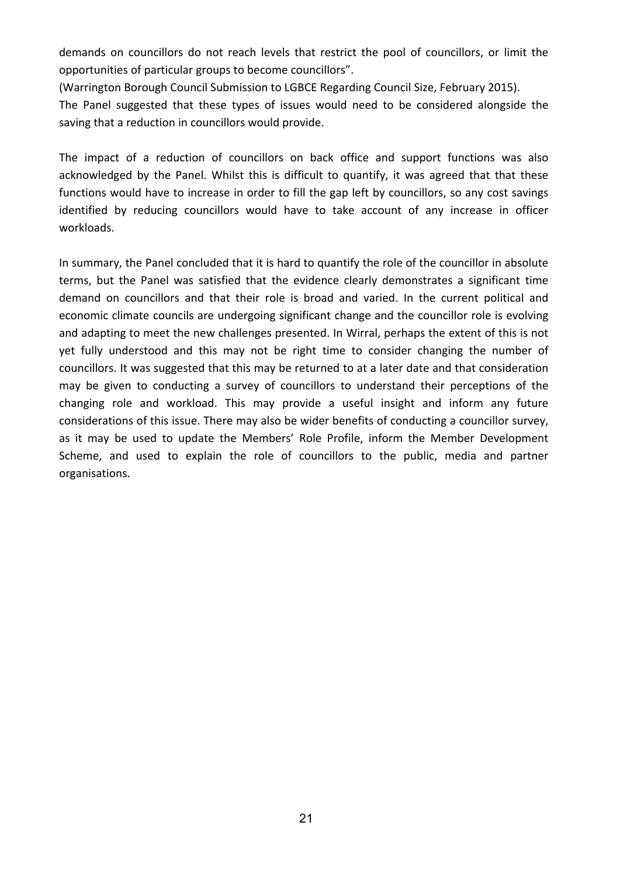demands on councillors do not reach levels that restrict the pool of councillors, or limit the opportunities of particular groups to become councillors".

(Warrington Borough Council Submission to LGBCE Regarding Council Size, February 2015).

The Panel suggested that these types of issues would need to be considered alongside the saving that a reduction in councillors would provide.

The impact of a reduction of councillors on back office and support functions was also acknowledged by the Panel. Whilst this is difficult to quantify, it was agreed that that these functions would have to increase in order to fill the gap left by councillors, so any cost savings identified by reducing councillors would have to take account of any increase in officer workloads.

In summary, the Panel concluded that it is hard to quantify the role of the councillor in absolute terms, but the Panel was satisfied that the evidence clearly demonstrates a significant time demand on councillors and that their role is broad and varied. In the current political and economic climate councils are undergoing significant change and the councillor role is evolving and adapting to meet the new challenges presented. In Wirral, perhaps the extent of this is not yet fully understood and this may not be right time to consider changing the number of councillors. It was suggested that this may be returned to at a later date and that consideration may be given to conducting a survey of councillors to understand their perceptions of the changing role and workload. This may provide a useful insight and inform any future considerations of this issue. There may also be wider benefits of conducting a councillor survey, as it may be used to update the Members' Role Profile, inform the Member Development Scheme, and used to explain the role of councillors to the public, media and partner organisations.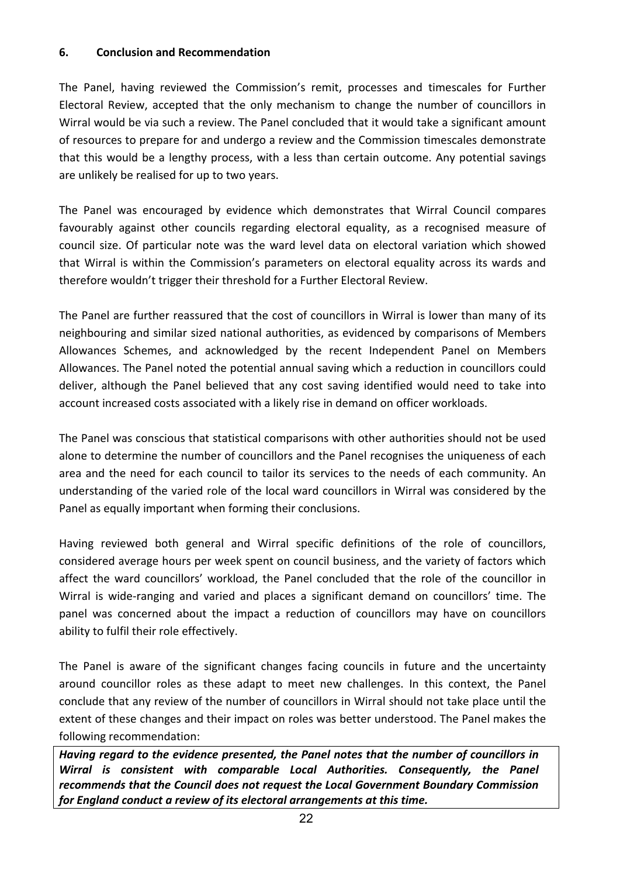#### **6. Conclusion and Recommendation**

The Panel, having reviewed the Commission's remit, processes and timescales for Further Electoral Review, accepted that the only mechanism to change the number of councillors in Wirral would be via such a review. The Panel concluded that it would take a significant amount of resources to prepare for and undergo a review and the Commission timescales demonstrate that this would be a lengthy process, with a less than certain outcome. Any potential savings are unlikely be realised for up to two years.

The Panel was encouraged by evidence which demonstrates that Wirral Council compares favourably against other councils regarding electoral equality, as a recognised measure of council size. Of particular note was the ward level data on electoral variation which showed that Wirral is within the Commission's parameters on electoral equality across its wards and therefore wouldn't trigger their threshold for a Further Electoral Review.

The Panel are further reassured that the cost of councillors in Wirral is lower than many of its neighbouring and similar sized national authorities, as evidenced by comparisons of Members Allowances Schemes, and acknowledged by the recent Independent Panel on Members Allowances. The Panel noted the potential annual saving which a reduction in councillors could deliver, although the Panel believed that any cost saving identified would need to take into account increased costs associated with a likely rise in demand on officer workloads.

The Panel was conscious that statistical comparisons with other authorities should not be used alone to determine the number of councillors and the Panel recognises the uniqueness of each area and the need for each council to tailor its services to the needs of each community. An understanding of the varied role of the local ward councillors in Wirral was considered by the Panel as equally important when forming their conclusions.

Having reviewed both general and Wirral specific definitions of the role of councillors, considered average hours per week spent on council business, and the variety of factors which affect the ward councillors' workload, the Panel concluded that the role of the councillor in Wirral is wide-ranging and varied and places a significant demand on councillors' time. The panel was concerned about the impact a reduction of councillors may have on councillors ability to fulfil their role effectively.

The Panel is aware of the significant changes facing councils in future and the uncertainty around councillor roles as these adapt to meet new challenges. In this context, the Panel conclude that any review of the number of councillors in Wirral should not take place until the extent of these changes and their impact on roles was better understood. The Panel makes the following recommendation:

*Having regard to the evidence presented, the Panel notes that the number of councillors in Wirral is consistent with comparable Local Authorities. Consequently, the Panel recommends that the Council does not request the Local Government Boundary Commission for England conduct a review of its electoral arrangements at this time.*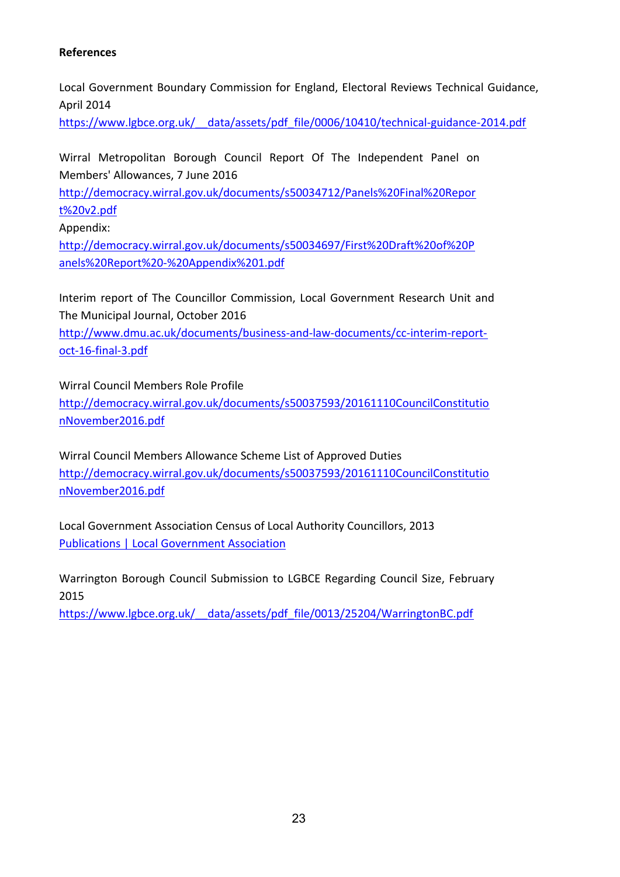#### **References**

Local Government Boundary Commission for England, Electoral Reviews Technical Guidance, April 2014

https://www.lgbce.org.uk/ data/assets/pdf file/0006/10410/technical-guidance-2014.pdf

Wirral Metropolitan Borough Council Report Of The Independent Panel on Members' Allowances, 7 June 2016

[http://democracy.wirral.gov.uk/documents/s50034712/Panels%20Final%20Repor](http://democracy.wirral.gov.uk/documents/s50034712/Panels%20Final%20Report%20v2.pdf) [t%20v2.pdf](http://democracy.wirral.gov.uk/documents/s50034712/Panels%20Final%20Report%20v2.pdf)

Appendix:

[http://democracy.wirral.gov.uk/documents/s50034697/First%20Draft%20of%20P](http://democracy.wirral.gov.uk/documents/s50034697/First%20Draft%20of%20Panels%20Report%20-%20Appendix%201.pdf) [anels%20Report%20-%20Appendix%201.pdf](http://democracy.wirral.gov.uk/documents/s50034697/First%20Draft%20of%20Panels%20Report%20-%20Appendix%201.pdf)

Interim report of The Councillor Commission, Local Government Research Unit and The Municipal Journal, October 2016

[http://www.dmu.ac.uk/documents/business-and-law-documents/cc-interim-report](http://www.dmu.ac.uk/documents/business-and-law-documents/cc-interim-report-oct-16-final-3.pdf)[oct-16-final-3.pdf](http://www.dmu.ac.uk/documents/business-and-law-documents/cc-interim-report-oct-16-final-3.pdf)

Wirral Council Members Role Profile [http://democracy.wirral.gov.uk/documents/s50037593/20161110CouncilConstitutio](http://democracy.wirral.gov.uk/documents/s50037593/20161110CouncilConstitutionNovember2016.pdf) [nNovember2016.pdf](http://democracy.wirral.gov.uk/documents/s50037593/20161110CouncilConstitutionNovember2016.pdf)

Wirral Council Members Allowance Scheme List of Approved Duties [http://democracy.wirral.gov.uk/documents/s50037593/20161110CouncilConstitutio](http://democracy.wirral.gov.uk/documents/s50037593/20161110CouncilConstitutionNovember2016.pdf) [nNovember2016.pdf](http://democracy.wirral.gov.uk/documents/s50037593/20161110CouncilConstitutionNovember2016.pdf)

Local Government Association Census of Local Authority Councillors, 2013 Publications | Local [Government](http://www.local.gov.uk/publications/-/journal_content/56/10180/6209077/PUBLICATION) Association

Warrington Borough Council Submission to LGBCE Regarding Council Size, February 2015

[https://www.lgbce.org.uk/\\_\\_data/assets/pdf\\_file/0013/25204/WarringtonBC.pdf](https://www.lgbce.org.uk/__data/assets/pdf_file/0013/25204/WarringtonBC.pdf)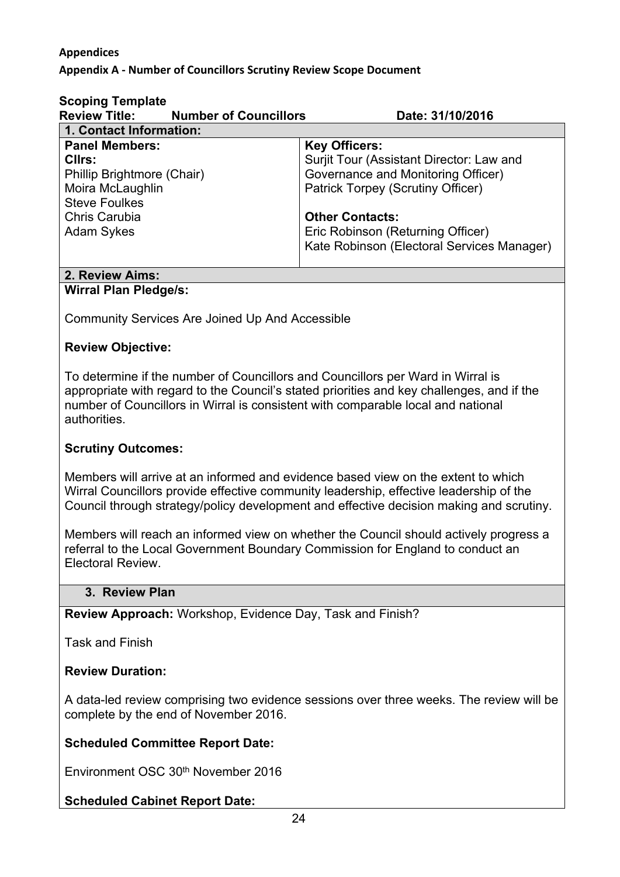#### **Appendices**

#### **Appendix A - Number of Councillors Scrutiny Review Scope Document**

| <b>Scoping Template</b>    |                                            |                                            |
|----------------------------|--------------------------------------------|--------------------------------------------|
|                            | <b>Review Title: Number of Councillors</b> | Date: 31/10/2016                           |
| 1. Contact Information:    |                                            |                                            |
| <b>Panel Members:</b>      |                                            | <b>Key Officers:</b>                       |
| Cllrs:                     |                                            | Surjit Tour (Assistant Director: Law and   |
| Phillip Brightmore (Chair) |                                            | Governance and Monitoring Officer)         |
| Moira McLaughlin           |                                            | <b>Patrick Torpey (Scrutiny Officer)</b>   |
| <b>Steve Foulkes</b>       |                                            |                                            |
| Chris Carubia              |                                            | <b>Other Contacts:</b>                     |
| <b>Adam Sykes</b>          |                                            | Eric Robinson (Returning Officer)          |
|                            |                                            | Kate Robinson (Electoral Services Manager) |
|                            |                                            |                                            |

#### **2. Review Aims: Wirral Plan Pledge/s:**

Community Services Are Joined Up And Accessible

#### **Review Objective:**

To determine if the number of Councillors and Councillors per Ward in Wirral is appropriate with regard to the Council's stated priorities and key challenges, and if the number of Councillors in Wirral is consistent with comparable local and national authorities.

#### **Scrutiny Outcomes:**

Members will arrive at an informed and evidence based view on the extent to which Wirral Councillors provide effective community leadership, effective leadership of the Council through strategy/policy development and effective decision making and scrutiny.

Members will reach an informed view on whether the Council should actively progress a referral to the Local Government Boundary Commission for England to conduct an Electoral Review.

#### **3. Review Plan**

**Review Approach:** Workshop, Evidence Day, Task and Finish?

Task and Finish

#### **Review Duration:**

A data-led review comprising two evidence sessions over three weeks. The review will be complete by the end of November 2016.

#### **Scheduled Committee Report Date:**

Environment OSC 30th November 2016

#### **Scheduled Cabinet Report Date:**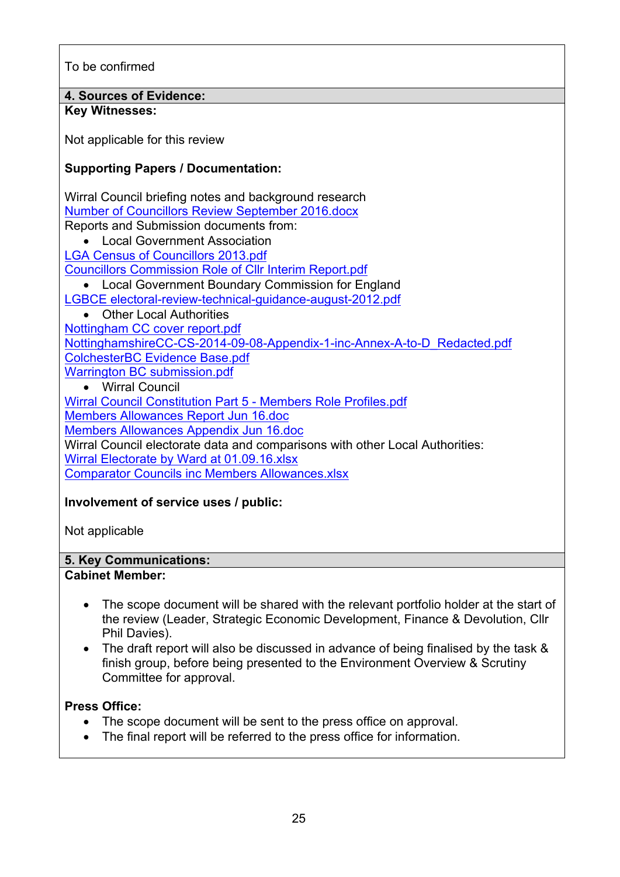To be confirmed

**4. Sources of Evidence:**

### **Key Witnesses:**

Not applicable for this review

#### **Supporting Papers / Documentation:**

Wirral Council briefing notes and background research Number of [Councillors](file:///C:/Users/tours/AppData/Local/Microsoft/Windows/Temporary%20Internet%20Files/Content.Outlook/8IP2L70D/Number%20of%20Councillors%20Review%20September%202016.docx) Review September 2016.docx

Reports and Submission documents from:

Local Government Association

LGA Census of [Councillors](file:///C:/Users/tours/AppData/Local/Microsoft/Windows/Temporary%20Internet%20Files/Content.Outlook/Census%20of%20Councillors%202013.pdf) 2013.pdf

Councillors [Commission](file://wa10201/Data/Shared/Strategy%20Policy%20Performance%20&%20Scrutiny/Scrutiny/Environment%20O&S%20Committee/Task%20&%20Finish/Number%20of%20Councillors/Evidence%20Sessions/Session%201%209th%20Nov/Councillors%20Commission%20Role%20of%20Cllr%20Interim%20Report.pdf) Role of Cllr Interim Report.pdf

- Local Government Boundary Commission for England
- LGBCE [electoral-review-technical-guidance-august-2012.pdf](file://wa10201/Data/Shared/Strategy%20Policy%20Performance%20&%20Scrutiny/Scrutiny/Environment%20O&S%20Committee/Task%20&%20Finish/Number%20of%20Councillors/Evidence%20Sessions/Session%201%209th%20Nov/Evidence%20submissions/electoral-review-guidance-august-2012.pdf)
- Other Local Authorities [Nottingham](file://wa10201/Data/Shared/Strategy%20Policy%20Performance%20&%20Scrutiny/Scrutiny/Environment%20O&S%20Committee/Task%20&%20Finish/Number%20of%20Councillors/Evidence%20Sessions/Session%201%209th%20Nov/Evidence%20submissions/Document%201%20Nottingham%20cover%20report.pdf) CC cover report.pdf [NottinghamshireCC-CS-2014-09-08-Appendix-1-inc-Annex-A-to-D\\_Redacted.pdf](../../../../../../STRATE~2/Scrutiny/ENVIRO~1/TASK&F~1/NUMBER~1/EVIDEN~2/SESSIO~1/EVIDEN~1/Document%25202%2520NottinghamshireCC-CS-2014-09-08-Appendix-1-inc-Annex-A-to-D_Redacted.pdf) [ColchesterBC](file://wa10201/Data/Shared/Strategy%20Policy%20Performance%20&%20Scrutiny/Scrutiny/Environment%20O&S%20Committee/Task%20&%20Finish/Number%20of%20Councillors/Evidence%20Sessions/Session%201%209th%20Nov/Evidence%20submissions/Document%203%20ColchesterBC%20Evidence%20Base.pdf) Evidence Base.pdf Warrington BC [submission.pdf](file://wa10201/Data/Shared/Strategy%20Policy%20Performance%20&%20Scrutiny/Scrutiny/Environment%20O&S%20Committee/Task%20&%20Finish/Number%20of%20Councillors/Evidence%20Sessions/Session%201%209th%20Nov/Evidence%20submissions/Document%204%20Warrington%20BC%20submission.pdf)

#### Wirral Council

Wirral Council [Constitution](file://wa10201/Data/Shared/Strategy%20Policy%20Performance%20&%20Scrutiny/Scrutiny/Environment%20O&S%20Committee/Task%20&%20Finish/Number%20of%20Councillors/Evidence%20Sessions/Session%201%209th%20Nov/Evidence%20submissions/Part%205%20-%20Members%20Role%20Profiles.pdf) Part 5 - Members Role Profiles.pdf Members [Allowances](file://wa10201/Data/Shared/Strategy%20Policy%20Performance%20&%20Scrutiny/Scrutiny/Environment%20O&S%20Committee/Task%20&%20Finish/Number%20of%20Councillors/Evidence%20Sessions/Session%201%209th%20Nov/Members%20Allowances%20Report%20Jun%2016.doc) Report Jun 16.doc Members [Allowances](file://wa10201/Data/Shared/Strategy%20Policy%20Performance%20&%20Scrutiny/Scrutiny/Environment%20O&S%20Committee/Task%20&%20Finish/Number%20of%20Councillors/Evidence%20Sessions/Session%201%209th%20Nov/Members%20Allowances%20Appendix%20Jun%2016.doc) Appendix Jun 16.doc Wirral Council electorate data and comparisons with other Local Authorities: Wirral Electorate by Ward at [01.09.16.xlsx](file://wa10201/Data/Shared/Strategy%20Policy%20Performance%20&%20Scrutiny/Scrutiny/Environment%20O&S%20Committee/Task%20&%20Finish/Number%20of%20Councillors/Evidence%20Sessions/Session%201%209th%20Nov/Wirral%20Electorate%20by%20Ward%20at%2001.09.16.xlsx)

Comparator Councils inc Members [Allowances.xlsx](file://wa10201/Data/Shared/Strategy%20Policy%20Performance%20&%20Scrutiny/Scrutiny/Environment%20O&S%20Committee/Task%20&%20Finish/Number%20of%20Councillors/Evidence%20Sessions/Session%201%209th%20Nov/Comparator%20Councils%20inc%20Members%20Allowances.xlsx)

## **Involvement of service uses / public:**

Not applicable

#### **5. Key Communications:**

#### **Cabinet Member:**

- The scope document will be shared with the relevant portfolio holder at the start of the review (Leader, Strategic Economic Development, Finance & Devolution, Cllr Phil Davies).
- The draft report will also be discussed in advance of being finalised by the task & finish group, before being presented to the Environment Overview & Scrutiny Committee for approval.

#### **Press Office:**

- The scope document will be sent to the press office on approval.
- The final report will be referred to the press office for information.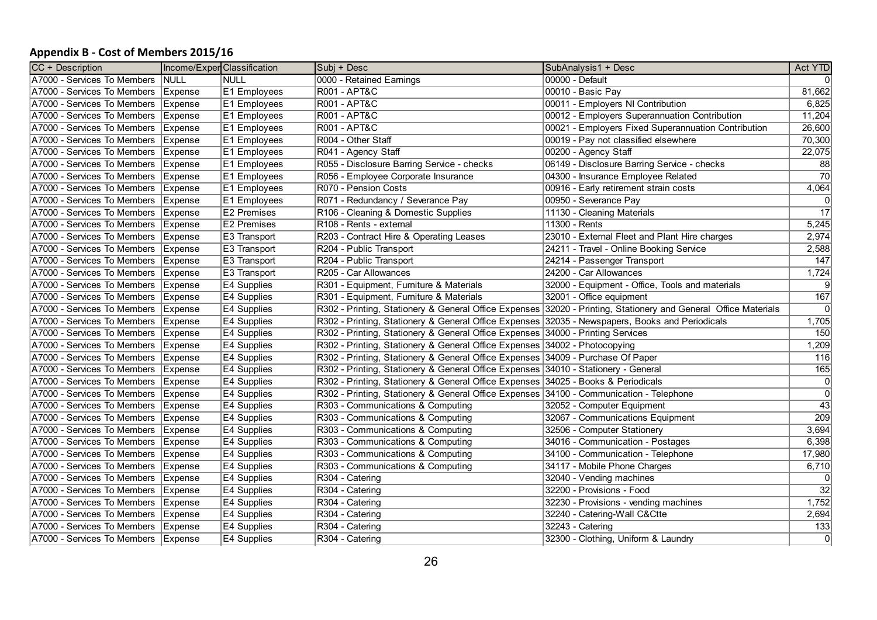#### **Appendix B - Cost of Members 2015/16**

| CC + Description                      | Income/ExperClassification |              | Subi + Desc                                                                                     | SubAnalysis1 + Desc                                                                                             | Act YTD         |
|---------------------------------------|----------------------------|--------------|-------------------------------------------------------------------------------------------------|-----------------------------------------------------------------------------------------------------------------|-----------------|
| A7000 - Services To Members           | <b>NULL</b>                | <b>NULL</b>  | 0000 - Retained Earnings                                                                        | 00000 - Default                                                                                                 | 0l              |
| A7000 - Services To Members           | Expense                    | E1 Employees | <b>R001 - APT&amp;C</b>                                                                         | 00010 - Basic Pay                                                                                               | 81,662          |
| A7000 - Services To Members           | Expense                    | E1 Employees | <b>R001 - APT&amp;C</b>                                                                         | 00011 - Employers NI Contribution                                                                               | 6,825           |
| A7000 - Services To Members           | Expense                    | E1 Employees | <b>R001 - APT&amp;C</b>                                                                         | 00012 - Employers Superannuation Contribution                                                                   | 11,204          |
| A7000 - Services To Members           | <b>Expense</b>             | E1 Employees | <b>R001 - APT&amp;C</b>                                                                         | 00021 - Employers Fixed Superannuation Contribution                                                             | 26,600          |
| A7000 - Services To Members           | Expense                    | E1 Employees | R004 - Other Staff                                                                              | 00019 - Pay not classified elsewhere                                                                            | 70,300          |
| A7000 - Services To Members           | Expense                    | E1 Employees | R041 - Agency Staff                                                                             | 00200 - Agency Staff                                                                                            | 22,075          |
| A7000 - Services To Members           | <b>Expense</b>             | E1 Employees | R055 - Disclosure Barring Service - checks                                                      | 06149 - Disclosure Barring Service - checks                                                                     | 88              |
| A7000 - Services To Members           | <b>Expense</b>             | E1 Employees | R056 - Employee Corporate Insurance                                                             | 04300 - Insurance Employee Related                                                                              | $\overline{70}$ |
| A7000 - Services To Members           | Expense                    | E1 Employees | R070 - Pension Costs                                                                            | 00916 - Early retirement strain costs                                                                           | 4,064           |
| A7000 - Services To Members           | Expense                    | E1 Employees | R071 - Redundancy / Severance Pay                                                               | 00950 - Severance Pay                                                                                           | 0               |
| A7000 - Services To Members           | <b>Expense</b>             | E2 Premises  | R106 - Cleaning & Domestic Supplies                                                             | 11130 - Cleaning Materials                                                                                      | 17              |
| A7000 - Services To Members           | <b>Expense</b>             | E2 Premises  | R108 - Rents - external                                                                         | 11300 - Rents                                                                                                   | 5,245           |
| A7000 - Services To Members           | Expense                    | E3 Transport | R203 - Contract Hire & Operating Leases                                                         | 23010 - External Fleet and Plant Hire charges                                                                   | 2,974           |
| A7000 - Services To Members           | Expense                    | E3 Transport | R204 - Public Transport                                                                         | 24211 - Travel - Online Booking Service                                                                         | 2,588           |
| A7000 - Services To Members   Expense |                            | E3 Transport | R204 - Public Transport                                                                         | 24214 - Passenger Transport                                                                                     | 147             |
| A7000 - Services To Members           | Expense                    | E3 Transport | R205 - Car Allowances                                                                           | 24200 - Car Allowances                                                                                          | 1,724           |
| A7000 - Services To Members           | Expense                    | E4 Supplies  | R301 - Equipment, Furniture & Materials                                                         | 32000 - Equipment - Office, Tools and materials                                                                 | $\overline{9}$  |
| A7000 - Services To Members           | <b>Expense</b>             | E4 Supplies  | R301 - Equipment, Furniture & Materials                                                         | 32001 - Office equipment                                                                                        | 167             |
| A7000 - Services To Members           | <b>Expense</b>             | E4 Supplies  |                                                                                                 | R302 - Printing, Stationery & General Office Expenses 32020 - Printing, Stationery and General Office Materials | 0l              |
| A7000 - Services To Members           | Expense                    | E4 Supplies  | R302 - Printing, Stationery & General Office Expenses 32035 - Newspapers, Books and Periodicals |                                                                                                                 | 1,705           |
| A7000 - Services To Members           | Expense                    | E4 Supplies  | R302 - Printing, Stationery & General Office Expenses 34000 - Printing Services                 |                                                                                                                 | 150             |
| A7000 - Services To Members           | Expense                    | E4 Supplies  | R302 - Printing, Stationery & General Office Expenses 34002 - Photocopying                      |                                                                                                                 | 1,209           |
| A7000 - Services To Members   Expense |                            | E4 Supplies  | R302 - Printing, Stationery & General Office Expenses 34009 - Purchase Of Paper                 |                                                                                                                 | 116             |
| A7000 - Services To Members           | Expense                    | E4 Supplies  | R302 - Printing, Stationery & General Office Expenses 34010 - Stationery - General              |                                                                                                                 | 165             |
| A7000 - Services To Members           | Expense                    | E4 Supplies  | R302 - Printing, Stationery & General Office Expenses 34025 - Books & Periodicals               |                                                                                                                 | 0               |
| A7000 - Services To Members           | Expense                    | E4 Supplies  | R302 - Printing, Stationery & General Office Expenses 34100 - Communication - Telephone         |                                                                                                                 | 0               |
| A7000 - Services To Members           | Expense                    | E4 Supplies  | R303 - Communications & Computing                                                               | 32052 - Computer Equipment                                                                                      | 43              |
| A7000 - Services To Members           | Expense                    | E4 Supplies  | R303 - Communications & Computing                                                               | 32067 - Communications Equipment                                                                                | 209             |
| A7000 - Services To Members           | Expense                    | E4 Supplies  | R303 - Communications & Computing                                                               | 32506 - Computer Stationery                                                                                     | 3,694           |
| A7000 - Services To Members           | Expense                    | E4 Supplies  | R303 - Communications & Computing                                                               | 34016 - Communication - Postages                                                                                | 6,398           |
| A7000 - Services To Members           | Expense                    | E4 Supplies  | R303 - Communications & Computing                                                               | 34100 - Communication - Telephone                                                                               | 17,980          |
| A7000 - Services To Members           | Expense                    | E4 Supplies  | R303 - Communications & Computing                                                               | 34117 - Mobile Phone Charges                                                                                    | 6,710           |
| A7000 - Services To Members           | Expense                    | E4 Supplies  | R304 - Catering                                                                                 | 32040 - Vending machines                                                                                        | 01              |
| A7000 - Services To Members           | Expense                    | E4 Supplies  | R <sub>304</sub> - Catering                                                                     | 32200 - Provisions - Food                                                                                       | $\overline{32}$ |
| A7000 - Services To Members           | Expense                    | E4 Supplies  | R <sub>304</sub> - Catering                                                                     | 32230 - Provisions - vending machines                                                                           | 1,752           |
| A7000 - Services To Members           | Expense                    | E4 Supplies  | R304 - Catering                                                                                 | 32240 - Catering-Wall C&Ctte                                                                                    | 2,694           |
| A7000 - Services To Members           | Expense                    | E4 Supplies  | R304 - Catering                                                                                 | 32243 - Catering                                                                                                | 133             |
| A7000 - Services To Members   Expense |                            | E4 Supplies  | R304 - Catering                                                                                 | 32300 - Clothing, Uniform & Laundry                                                                             | $\overline{0}$  |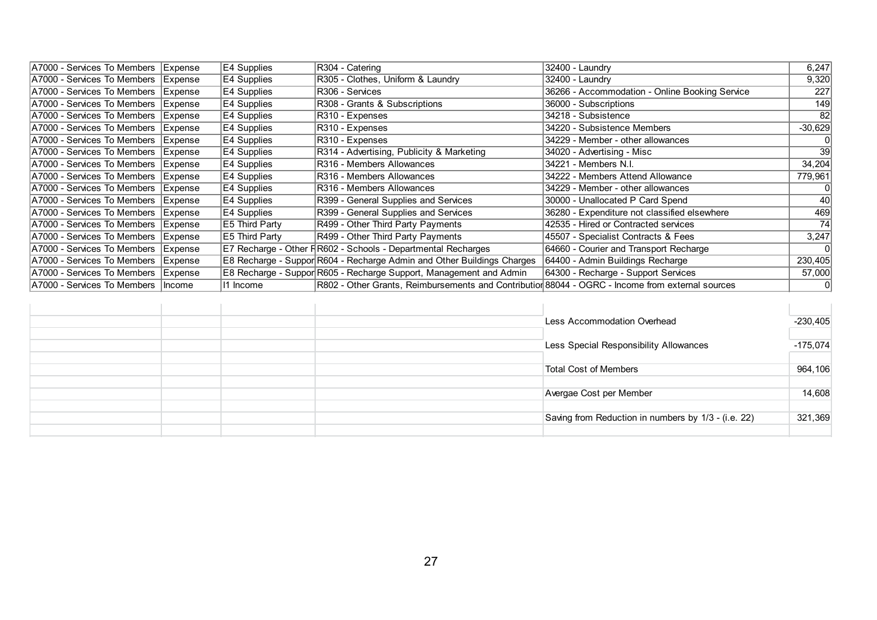| A7000 - Services To Members   Expense | E4 Supplies        | R304 - Catering                                                                                  | $32400 -$ Laundry                              | 6,247     |
|---------------------------------------|--------------------|--------------------------------------------------------------------------------------------------|------------------------------------------------|-----------|
| A7000 - Services To Members   Expense | E4 Supplies        | R305 - Clothes, Uniform & Laundry                                                                | $32400 -$ Laundry                              | 9,320     |
| A7000 - Services To Members   Expense | E4 Supplies        | R306 - Services                                                                                  | 36266 - Accommodation - Online Booking Service | 227       |
| A7000 - Services To Members   Expense | E4 Supplies        | R308 - Grants & Subscriptions                                                                    | 36000 - Subscriptions                          | 149       |
| A7000 - Services To Members   Expense | E4 Supplies        | R310 - Expenses                                                                                  | 34218 - Subsistence                            | <b>82</b> |
| A7000 - Services To Members   Expense | E4 Supplies        | R310 - Expenses                                                                                  | 34220 - Subsistence Members                    | $-30,629$ |
| A7000 - Services To Members   Expense | E4 Supplies        | R310 - Expenses                                                                                  | 34229 - Member - other allowances              | 0         |
| A7000 - Services To Members   Expense | E4 Supplies        | R314 - Advertising, Publicity & Marketing                                                        | 34020 - Advertising - Misc                     | $39$      |
| A7000 - Services To Members   Expense | E4 Supplies        | R316 - Members Allowances                                                                        | 34221 - Members N.I.                           | 34,204    |
| A7000 - Services To Members   Expense | E4 Supplies        | R316 - Members Allowances                                                                        | 34222 - Members Attend Allowance               | 779,961   |
| A7000 - Services To Members   Expense | E4 Supplies        | R316 - Members Allowances                                                                        | 34229 - Member - other allowances              |           |
| A7000 - Services To Members   Expense | E4 Supplies        | R399 - General Supplies and Services                                                             | 30000 - Unallocated P Card Spend               | 40        |
| A7000 - Services To Members   Expense | <b>E4 Supplies</b> | R399 - General Supplies and Services                                                             | 36280 - Expenditure not classified elsewhere   | 469       |
| A7000 - Services To Members   Expense | E5 Third Party     | R499 - Other Third Party Payments                                                                | 42535 - Hired or Contracted services           | 74        |
| A7000 - Services To Members   Expense | E5 Third Party     | R499 - Other Third Party Payments                                                                | 45507 - Specialist Contracts & Fees            | 3,247     |
| A7000 - Services To Members   Expense |                    | E7 Recharge - Other FR602 - Schools - Departmental Recharges                                     | 64660 - Courier and Transport Recharge         |           |
| A7000 - Services To Members   Expense |                    | E8 Recharge - Suppor R604 - Recharge Admin and Other Buildings Charges                           | 64400 - Admin Buildings Recharge               | 230,405   |
| A7000 - Services To Members   Expense |                    | E8 Recharge - Suppor R605 - Recharge Support, Management and Admin                               | 64300 - Recharge - Support Services            | 57,000    |
| A7000 - Services To Members   Income  | 11 Income          | R802 - Other Grants, Reimbursements and Contributior 88044 - OGRC - Income from external sources |                                                | 0         |

|  |  | Less Accommodation Overhead                         | $-230,405$ |
|--|--|-----------------------------------------------------|------------|
|  |  |                                                     |            |
|  |  | Less Special Responsibility Allowances              | $-175,074$ |
|  |  |                                                     |            |
|  |  | <b>Total Cost of Members</b>                        | 964,106    |
|  |  |                                                     |            |
|  |  | Avergae Cost per Member                             | 14,608     |
|  |  |                                                     |            |
|  |  | Saving from Reduction in numbers by 1/3 - (i.e. 22) | 321,369    |
|  |  |                                                     |            |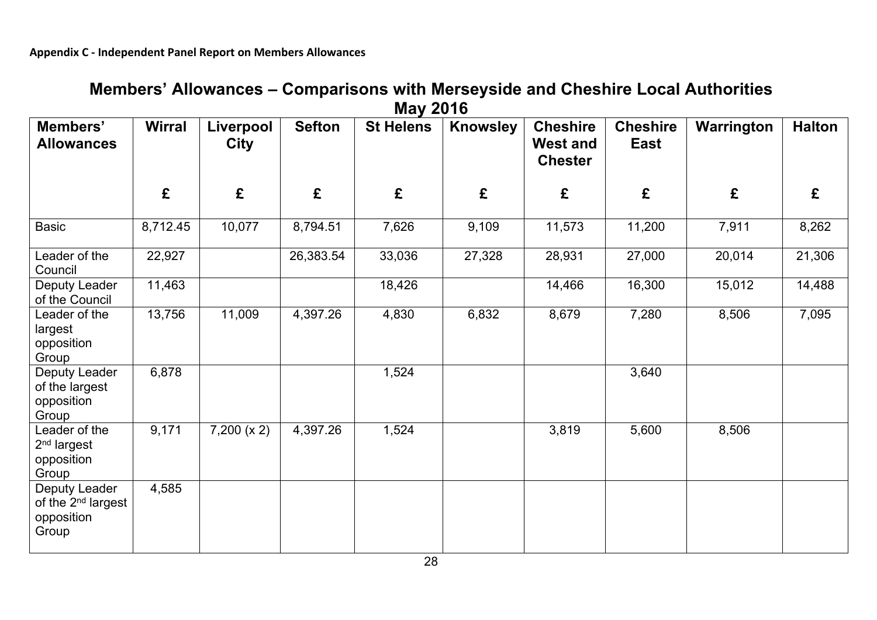|                                                                        |               |                          |               | <b>IVIAY LUIU</b> |                 |                                                      |                                |            |               |
|------------------------------------------------------------------------|---------------|--------------------------|---------------|-------------------|-----------------|------------------------------------------------------|--------------------------------|------------|---------------|
| Members'<br><b>Allowances</b>                                          | <b>Wirral</b> | Liverpool<br><b>City</b> | <b>Sefton</b> | <b>St Helens</b>  | <b>Knowsley</b> | <b>Cheshire</b><br><b>West and</b><br><b>Chester</b> | <b>Cheshire</b><br><b>East</b> | Warrington | <b>Halton</b> |
|                                                                        | £             | £                        | £             | £                 | £               | £                                                    | £                              | £          | £             |
| <b>Basic</b>                                                           | 8,712.45      | 10,077                   | 8,794.51      | 7,626             | 9,109           | 11,573                                               | 11,200                         | 7,911      | 8,262         |
| Leader of the<br>Council                                               | 22,927        |                          | 26,383.54     | 33,036            | 27,328          | 28,931                                               | 27,000                         | 20,014     | 21,306        |
| Deputy Leader<br>of the Council                                        | 11,463        |                          |               | 18,426            |                 | 14,466                                               | 16,300                         | 15,012     | 14,488        |
| Leader of the<br>largest<br>opposition<br>Group                        | 13,756        | 11,009                   | 4,397.26      | 4,830             | 6,832           | 8,679                                                | 7,280                          | 8,506      | 7,095         |
| Deputy Leader<br>of the largest<br>opposition<br>Group                 | 6,878         |                          |               | 1,524             |                 |                                                      | 3,640                          |            |               |
| Leader of the<br>$2nd$ largest<br>opposition<br>Group                  | 9,171         | 7,200 (x 2)              | 4,397.26      | 1,524             |                 | 3,819                                                | 5,600                          | 8,506      |               |
| Deputy Leader<br>of the 2 <sup>nd</sup> largest<br>opposition<br>Group | 4,585         |                          |               |                   |                 |                                                      |                                |            |               |

# **Members' Allowances – Comparisons with Merseyside and Cheshire Local Authorities May 2016**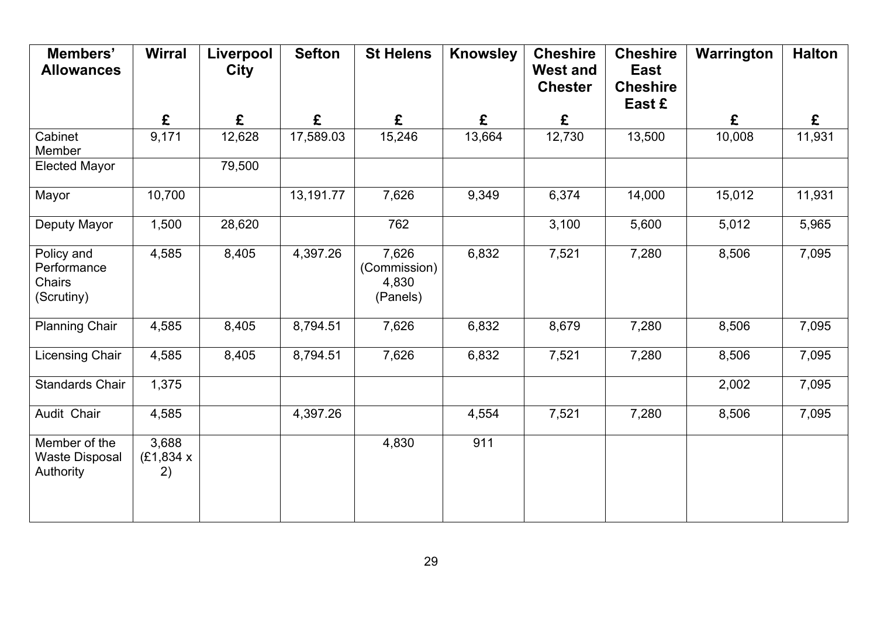| Members'<br><b>Allowances</b>                            | <b>Wirral</b>              | Liverpool<br><b>City</b> | <b>Sefton</b> | <b>St Helens</b>                           | <b>Knowsley</b> | <b>Cheshire</b><br><b>West and</b><br><b>Chester</b> | <b>Cheshire</b><br><b>East</b><br><b>Cheshire</b><br>East £ | Warrington | <b>Halton</b> |
|----------------------------------------------------------|----------------------------|--------------------------|---------------|--------------------------------------------|-----------------|------------------------------------------------------|-------------------------------------------------------------|------------|---------------|
|                                                          | £                          | £                        | £             | £                                          | £               | £                                                    |                                                             | £          | £             |
| Cabinet<br>Member                                        | 9,171                      | 12,628                   | 17,589.03     | 15,246                                     | 13,664          | 12,730                                               | 13,500                                                      | 10,008     | 11,931        |
| <b>Elected Mayor</b>                                     |                            | 79,500                   |               |                                            |                 |                                                      |                                                             |            |               |
| Mayor                                                    | 10,700                     |                          | 13,191.77     | 7,626                                      | 9,349           | 6,374                                                | 14,000                                                      | 15,012     | 11,931        |
| Deputy Mayor                                             | 1,500                      | 28,620                   |               | 762                                        |                 | 3,100                                                | 5,600                                                       | 5,012      | 5,965         |
| Policy and<br>Performance<br><b>Chairs</b><br>(Scrutiny) | 4,585                      | 8,405                    | 4,397.26      | 7,626<br>(Commission)<br>4,830<br>(Panels) | 6,832           | 7,521                                                | 7,280                                                       | 8,506      | 7,095         |
| <b>Planning Chair</b>                                    | 4,585                      | 8,405                    | 8,794.51      | 7,626                                      | 6,832           | 8,679                                                | 7,280                                                       | 8,506      | 7,095         |
| Licensing Chair                                          | 4,585                      | 8,405                    | 8,794.51      | 7,626                                      | 6,832           | 7,521                                                | 7,280                                                       | 8,506      | 7,095         |
| <b>Standards Chair</b>                                   | 1,375                      |                          |               |                                            |                 |                                                      |                                                             | 2,002      | 7,095         |
| Audit Chair                                              | 4,585                      |                          | 4,397.26      |                                            | 4,554           | 7,521                                                | 7,280                                                       | 8,506      | 7,095         |
| Member of the<br><b>Waste Disposal</b><br>Authority      | 3,688<br>(E1, 834 x)<br>2) |                          |               | 4,830                                      | 911             |                                                      |                                                             |            |               |